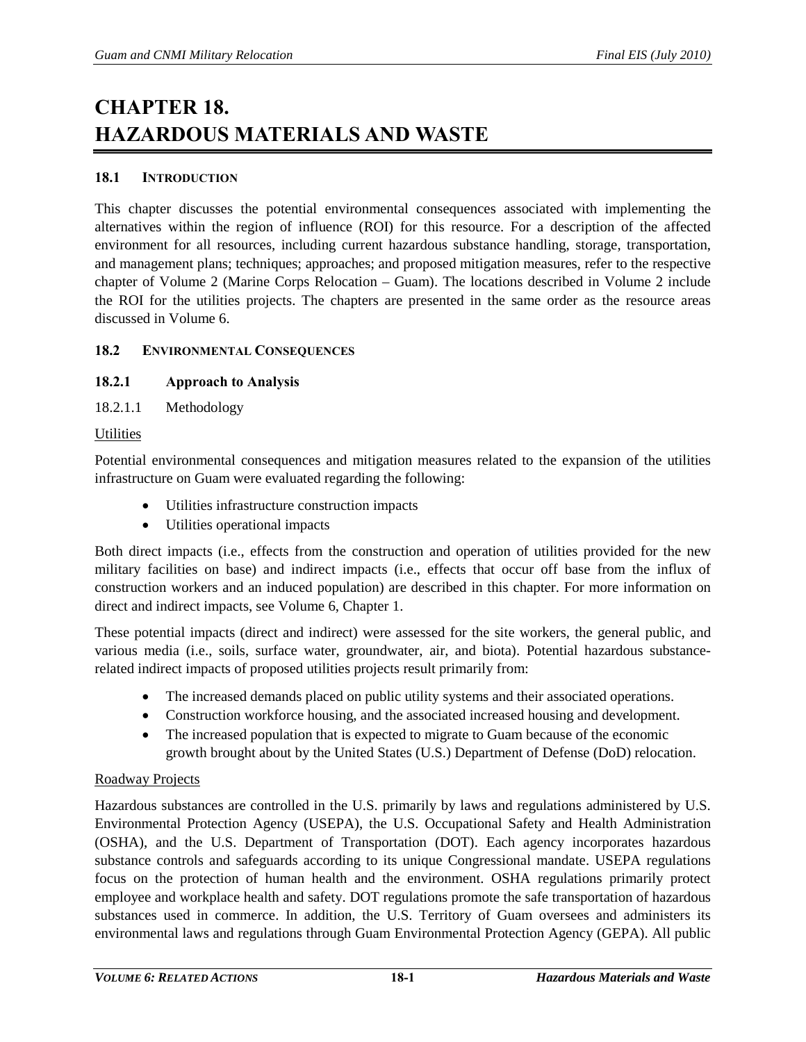# **CHAPTER 18. HAZARDOUS MATERIALS AND WASTE**

# **18.1 INTRODUCTION**

This chapter discusses the potential environmental consequences associated with implementing the alternatives within the region of influence (ROI) for this resource. For a description of the affected environment for all resources, including current hazardous substance handling, storage, transportation, and management plans; techniques; approaches; and proposed mitigation measures, refer to the respective chapter of Volume 2 (Marine Corps Relocation – Guam). The locations described in Volume 2 include the ROI for the utilities projects. The chapters are presented in the same order as the resource areas discussed in Volume 6.

## **18.2 ENVIRONMENTAL CONSEQUENCES**

# **18.2.1 Approach to Analysis**

18.2.1.1 Methodology

## **Utilities**

Potential environmental consequences and mitigation measures related to the expansion of the utilities infrastructure on Guam were evaluated regarding the following:

- Utilities infrastructure construction impacts
- Utilities operational impacts

Both direct impacts (i.e., effects from the construction and operation of utilities provided for the new military facilities on base) and indirect impacts (i.e., effects that occur off base from the influx of construction workers and an induced population) are described in this chapter. For more information on direct and indirect impacts, see Volume 6, Chapter 1.

These potential impacts (direct and indirect) were assessed for the site workers, the general public, and various media (i.e., soils, surface water, groundwater, air, and biota). Potential hazardous substancerelated indirect impacts of proposed utilities projects result primarily from:

- The increased demands placed on public utility systems and their associated operations.
- Construction workforce housing, and the associated increased housing and development.
- The increased population that is expected to migrate to Guam because of the economic growth brought about by the United States (U.S.) Department of Defense (DoD) relocation.

## Roadway Projects

Hazardous substances are controlled in the U.S. primarily by laws and regulations administered by U.S. Environmental Protection Agency (USEPA), the U.S. Occupational Safety and Health Administration (OSHA), and the U.S. Department of Transportation (DOT). Each agency incorporates hazardous substance controls and safeguards according to its unique Congressional mandate. USEPA regulations focus on the protection of human health and the environment. OSHA regulations primarily protect employee and workplace health and safety. DOT regulations promote the safe transportation of hazardous substances used in commerce. In addition, the U.S. Territory of Guam oversees and administers its environmental laws and regulations through Guam Environmental Protection Agency (GEPA). All public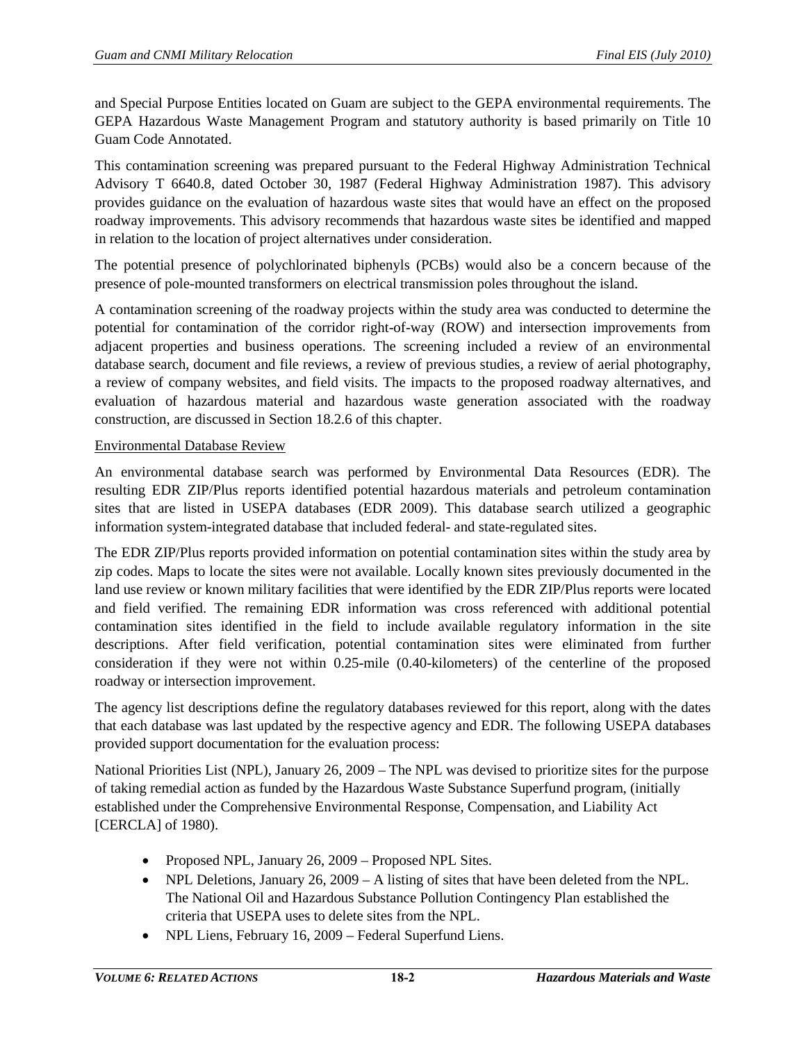and Special Purpose Entities located on Guam are subject to the GEPA environmental requirements. The GEPA Hazardous Waste Management Program and statutory authority is based primarily on Title 10 Guam Code Annotated.

This contamination screening was prepared pursuant to the Federal Highway Administration Technical Advisory T 6640.8, dated October 30, 1987 (Federal Highway Administration 1987). This advisory provides guidance on the evaluation of hazardous waste sites that would have an effect on the proposed roadway improvements. This advisory recommends that hazardous waste sites be identified and mapped in relation to the location of project alternatives under consideration.

The potential presence of polychlorinated biphenyls (PCBs) would also be a concern because of the presence of pole-mounted transformers on electrical transmission poles throughout the island.

A contamination screening of the roadway projects within the study area was conducted to determine the potential for contamination of the corridor right-of-way (ROW) and intersection improvements from adjacent properties and business operations. The screening included a review of an environmental database search, document and file reviews, a review of previous studies, a review of aerial photography, a review of company websites, and field visits. The impacts to the proposed roadway alternatives, and evaluation of hazardous material and hazardous waste generation associated with the roadway construction, are discussed in Section [18.2.6](#page-23-0) of this chapter.

## Environmental Database Review

An environmental database search was performed by Environmental Data Resources (EDR). The resulting EDR ZIP/Plus reports identified potential hazardous materials and petroleum contamination sites that are listed in USEPA databases (EDR 2009). This database search utilized a geographic information system-integrated database that included federal- and state-regulated sites.

The EDR ZIP/Plus reports provided information on potential contamination sites within the study area by zip codes. Maps to locate the sites were not available. Locally known sites previously documented in the land use review or known military facilities that were identified by the EDR ZIP/Plus reports were located and field verified. The remaining EDR information was cross referenced with additional potential contamination sites identified in the field to include available regulatory information in the site descriptions. After field verification, potential contamination sites were eliminated from further consideration if they were not within 0.25-mile (0.40-kilometers) of the centerline of the proposed roadway or intersection improvement.

The agency list descriptions define the regulatory databases reviewed for this report, along with the dates that each database was last updated by the respective agency and EDR. The following USEPA databases provided support documentation for the evaluation process:

National Priorities List (NPL), January 26, 2009 – The NPL was devised to prioritize sites for the purpose of taking remedial action as funded by the Hazardous Waste Substance Superfund program, (initially established under the Comprehensive Environmental Response, Compensation, and Liability Act [CERCLA] of 1980).

- Proposed NPL, January 26, 2009 Proposed NPL Sites.
- NPL Deletions, January 26, 2009 A listing of sites that have been deleted from the NPL. The National Oil and Hazardous Substance Pollution Contingency Plan established the criteria that USEPA uses to delete sites from the NPL.
- NPL Liens, February 16, 2009 Federal Superfund Liens.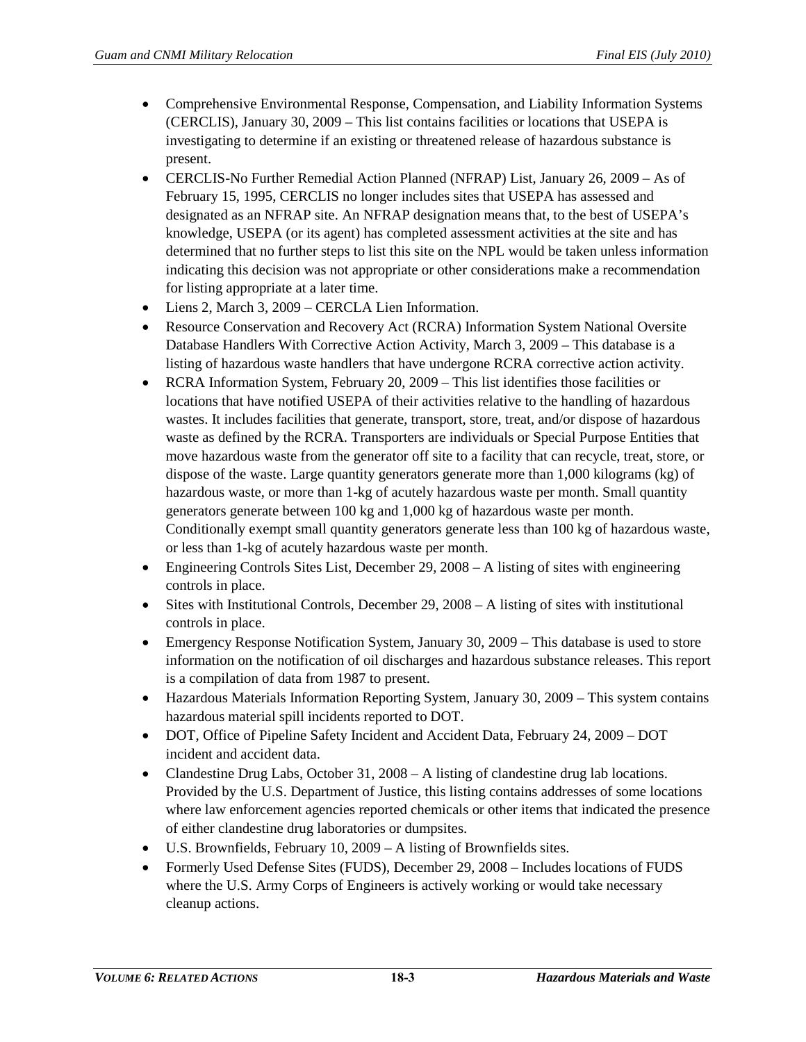- Comprehensive Environmental Response, Compensation, and Liability Information Systems (CERCLIS), January 30, 2009 – This list contains facilities or locations that USEPA is investigating to determine if an existing or threatened release of hazardous substance is present.
- CERCLIS-No Further Remedial Action Planned (NFRAP) List, January 26, 2009 As of February 15, 1995, CERCLIS no longer includes sites that USEPA has assessed and designated as an NFRAP site. An NFRAP designation means that, to the best of USEPA's knowledge, USEPA (or its agent) has completed assessment activities at the site and has determined that no further steps to list this site on the NPL would be taken unless information indicating this decision was not appropriate or other considerations make a recommendation for listing appropriate at a later time.
- Liens 2, March 3, 2009 CERCLA Lien Information.
- Resource Conservation and Recovery Act (RCRA) Information System National Oversite Database Handlers With Corrective Action Activity, March 3, 2009 – This database is a listing of hazardous waste handlers that have undergone RCRA corrective action activity.
- RCRA Information System, February 20, 2009 This list identifies those facilities or locations that have notified USEPA of their activities relative to the handling of hazardous wastes. It includes facilities that generate, transport, store, treat, and/or dispose of hazardous waste as defined by the RCRA. Transporters are individuals or Special Purpose Entities that move hazardous waste from the generator off site to a facility that can recycle, treat, store, or dispose of the waste. Large quantity generators generate more than 1,000 kilograms (kg) of hazardous waste, or more than 1-kg of acutely hazardous waste per month. Small quantity generators generate between 100 kg and 1,000 kg of hazardous waste per month. Conditionally exempt small quantity generators generate less than 100 kg of hazardous waste, or less than 1-kg of acutely hazardous waste per month.
- Engineering Controls Sites List, December 29, 2008 A listing of sites with engineering controls in place.
- Sites with Institutional Controls, December 29, 2008 A listing of sites with institutional controls in place.
- Emergency Response Notification System, January 30, 2009 This database is used to store information on the notification of oil discharges and hazardous substance releases. This report is a compilation of data from 1987 to present.
- Hazardous Materials Information Reporting System, January 30, 2009 This system contains hazardous material spill incidents reported to DOT.
- DOT, Office of Pipeline Safety Incident and Accident Data, February 24, 2009 DOT incident and accident data.
- Clandestine Drug Labs, October 31, 2008 A listing of clandestine drug lab locations. Provided by the U.S. Department of Justice, this listing contains addresses of some locations where law enforcement agencies reported chemicals or other items that indicated the presence of either clandestine drug laboratories or dumpsites.
- U.S. Brownfields, February 10, 2009 A listing of Brownfields sites.
- Formerly Used Defense Sites (FUDS), December 29, 2008 Includes locations of FUDS where the U.S. Army Corps of Engineers is actively working or would take necessary cleanup actions.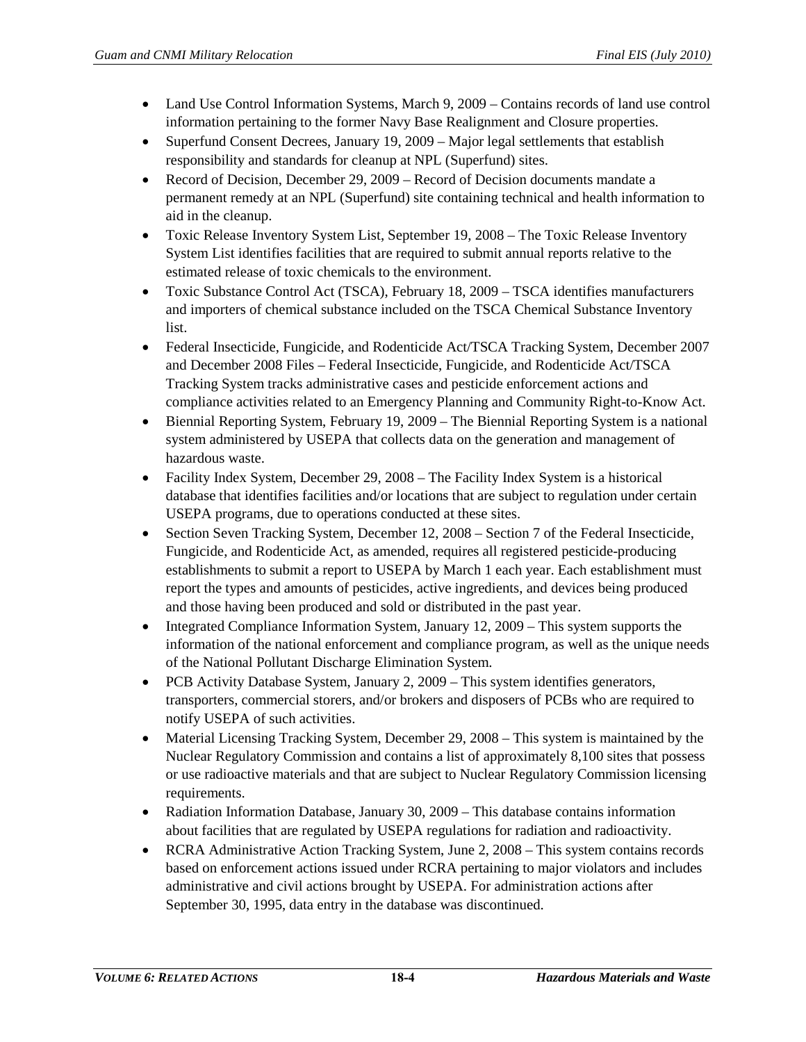- Land Use Control Information Systems, March 9, 2009 Contains records of land use control information pertaining to the former Navy Base Realignment and Closure properties.
- Superfund Consent Decrees, January 19, 2009 Major legal settlements that establish responsibility and standards for cleanup at NPL (Superfund) sites.
- Record of Decision, December 29, 2009 Record of Decision documents mandate a permanent remedy at an NPL (Superfund) site containing technical and health information to aid in the cleanup.
- Toxic Release Inventory System List, September 19, 2008 The Toxic Release Inventory System List identifies facilities that are required to submit annual reports relative to the estimated release of toxic chemicals to the environment.
- Toxic Substance Control Act (TSCA), February 18, 2009 TSCA identifies manufacturers and importers of chemical substance included on the TSCA Chemical Substance Inventory list.
- Federal Insecticide, Fungicide, and Rodenticide Act/TSCA Tracking System, December 2007 and December 2008 Files – Federal Insecticide, Fungicide, and Rodenticide Act/TSCA Tracking System tracks administrative cases and pesticide enforcement actions and compliance activities related to an Emergency Planning and Community Right-to-Know Act.
- Biennial Reporting System, February 19, 2009 The Biennial Reporting System is a national system administered by USEPA that collects data on the generation and management of hazardous waste.
- Facility Index System, December 29, 2008 The Facility Index System is a historical database that identifies facilities and/or locations that are subject to regulation under certain USEPA programs, due to operations conducted at these sites.
- Section Seven Tracking System, December 12, 2008 Section 7 of the Federal Insecticide, Fungicide, and Rodenticide Act, as amended, requires all registered pesticide-producing establishments to submit a report to USEPA by March 1 each year. Each establishment must report the types and amounts of pesticides, active ingredients, and devices being produced and those having been produced and sold or distributed in the past year.
- Integrated Compliance Information System, January 12, 2009 This system supports the information of the national enforcement and compliance program, as well as the unique needs of the National Pollutant Discharge Elimination System.
- PCB Activity Database System, January 2, 2009 This system identifies generators, transporters, commercial storers, and/or brokers and disposers of PCBs who are required to notify USEPA of such activities.
- Material Licensing Tracking System, December 29, 2008 This system is maintained by the Nuclear Regulatory Commission and contains a list of approximately 8,100 sites that possess or use radioactive materials and that are subject to Nuclear Regulatory Commission licensing requirements.
- Radiation Information Database, January 30, 2009 This database contains information about facilities that are regulated by USEPA regulations for radiation and radioactivity.
- RCRA Administrative Action Tracking System, June 2, 2008 This system contains records based on enforcement actions issued under RCRA pertaining to major violators and includes administrative and civil actions brought by USEPA. For administration actions after September 30, 1995, data entry in the database was discontinued.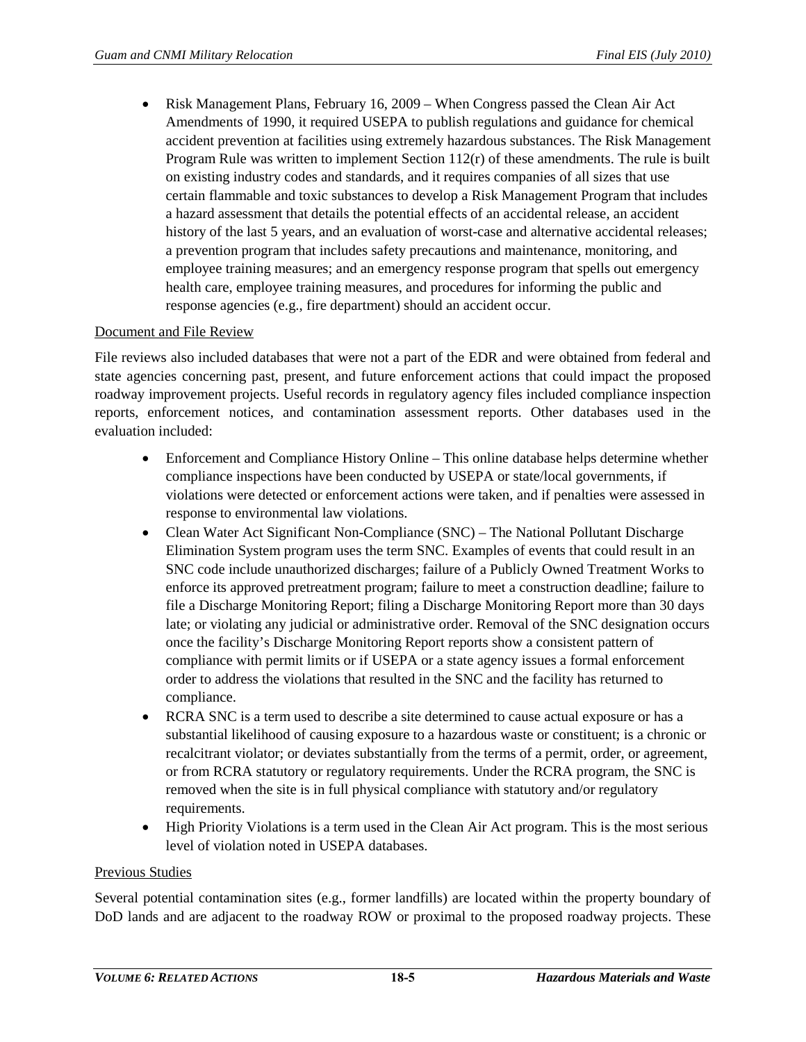• Risk Management Plans, February 16, 2009 – When Congress passed the Clean Air Act Amendments of 1990, it required USEPA to publish regulations and guidance for chemical accident prevention at facilities using extremely hazardous substances. The Risk Management Program Rule was written to implement Section  $112(r)$  of these amendments. The rule is built on existing industry codes and standards, and it requires companies of all sizes that use certain flammable and toxic substances to develop a Risk Management Program that includes a hazard assessment that details the potential effects of an accidental release, an accident history of the last 5 years, and an evaluation of worst-case and alternative accidental releases; a prevention program that includes safety precautions and maintenance, monitoring, and employee training measures; and an emergency response program that spells out emergency health care, employee training measures, and procedures for informing the public and response agencies (e.g., fire department) should an accident occur.

# Document and File Review

File reviews also included databases that were not a part of the EDR and were obtained from federal and state agencies concerning past, present, and future enforcement actions that could impact the proposed roadway improvement projects. Useful records in regulatory agency files included compliance inspection reports, enforcement notices, and contamination assessment reports. Other databases used in the evaluation included:

- Enforcement and Compliance History Online This online database helps determine whether compliance inspections have been conducted by USEPA or state/local governments, if violations were detected or enforcement actions were taken, and if penalties were assessed in response to environmental law violations.
- Clean Water Act Significant Non-Compliance (SNC) The National Pollutant Discharge Elimination System program uses the term SNC. Examples of events that could result in an SNC code include unauthorized discharges; failure of a Publicly Owned Treatment Works to enforce its approved pretreatment program; failure to meet a construction deadline; failure to file a Discharge Monitoring Report; filing a Discharge Monitoring Report more than 30 days late; or violating any judicial or administrative order. Removal of the SNC designation occurs once the facility's Discharge Monitoring Report reports show a consistent pattern of compliance with permit limits or if USEPA or a state agency issues a formal enforcement order to address the violations that resulted in the SNC and the facility has returned to compliance.
- RCRA SNC is a term used to describe a site determined to cause actual exposure or has a substantial likelihood of causing exposure to a hazardous waste or constituent; is a chronic or recalcitrant violator; or deviates substantially from the terms of a permit, order, or agreement, or from RCRA statutory or regulatory requirements. Under the RCRA program, the SNC is removed when the site is in full physical compliance with statutory and/or regulatory requirements.
- High Priority Violations is a term used in the Clean Air Act program. This is the most serious level of violation noted in USEPA databases.

#### Previous Studies

Several potential contamination sites (e.g., former landfills) are located within the property boundary of DoD lands and are adjacent to the roadway ROW or proximal to the proposed roadway projects. These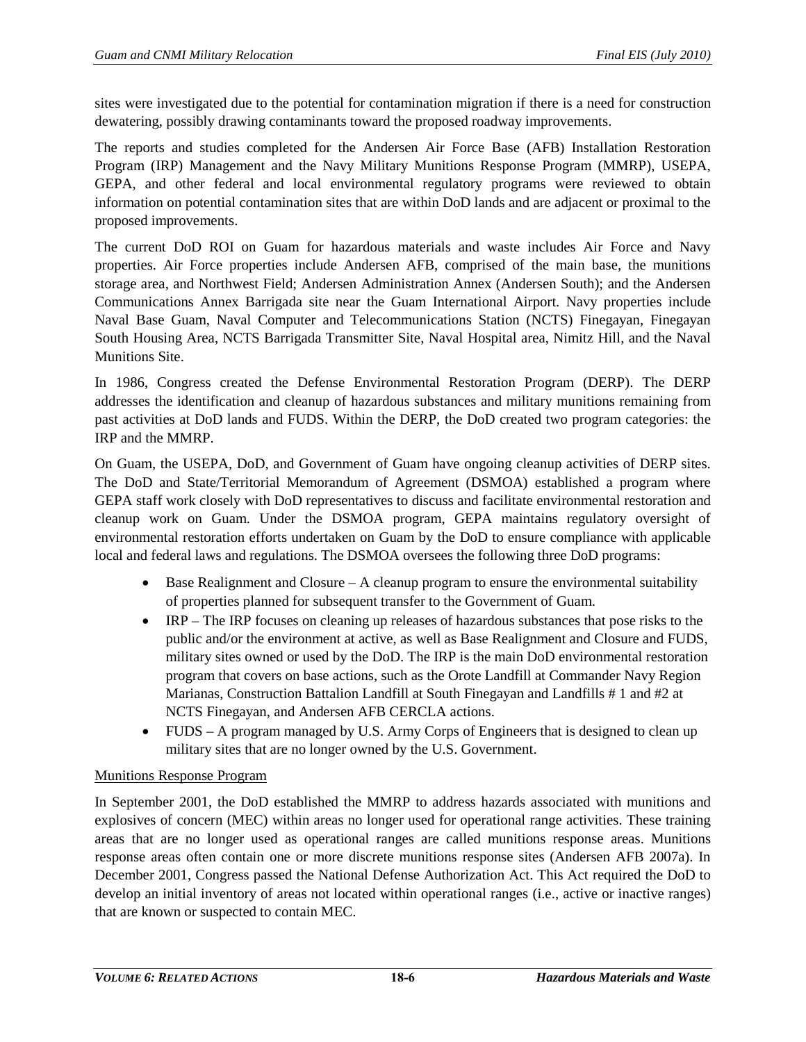sites were investigated due to the potential for contamination migration if there is a need for construction dewatering, possibly drawing contaminants toward the proposed roadway improvements.

The reports and studies completed for the Andersen Air Force Base (AFB) Installation Restoration Program (IRP) Management and the Navy Military Munitions Response Program (MMRP), USEPA, GEPA, and other federal and local environmental regulatory programs were reviewed to obtain information on potential contamination sites that are within DoD lands and are adjacent or proximal to the proposed improvements.

The current DoD ROI on Guam for hazardous materials and waste includes Air Force and Navy properties. Air Force properties include Andersen AFB, comprised of the main base, the munitions storage area, and Northwest Field; Andersen Administration Annex (Andersen South); and the Andersen Communications Annex Barrigada site near the Guam International Airport. Navy properties include Naval Base Guam, Naval Computer and Telecommunications Station (NCTS) Finegayan, Finegayan South Housing Area, NCTS Barrigada Transmitter Site, Naval Hospital area, Nimitz Hill, and the Naval Munitions Site.

In 1986, Congress created the Defense Environmental Restoration Program (DERP). The DERP addresses the identification and cleanup of hazardous substances and military munitions remaining from past activities at DoD lands and FUDS. Within the DERP, the DoD created two program categories: the IRP and the MMRP.

On Guam, the USEPA, DoD, and Government of Guam have ongoing cleanup activities of DERP sites. The DoD and State/Territorial Memorandum of Agreement (DSMOA) established a program where GEPA staff work closely with DoD representatives to discuss and facilitate environmental restoration and cleanup work on Guam. Under the DSMOA program, GEPA maintains regulatory oversight of environmental restoration efforts undertaken on Guam by the DoD to ensure compliance with applicable local and federal laws and regulations. The DSMOA oversees the following three DoD programs:

- Base Realignment and Closure  $-A$  cleanup program to ensure the environmental suitability of properties planned for subsequent transfer to the Government of Guam.
- IRP The IRP focuses on cleaning up releases of hazardous substances that pose risks to the public and/or the environment at active, as well as Base Realignment and Closure and FUDS, military sites owned or used by the DoD. The IRP is the main DoD environmental restoration program that covers on base actions, such as the Orote Landfill at Commander Navy Region Marianas, Construction Battalion Landfill at South Finegayan and Landfills # 1 and #2 at NCTS Finegayan, and Andersen AFB CERCLA actions.
- FUDS A program managed by U.S. Army Corps of Engineers that is designed to clean up military sites that are no longer owned by the U.S. Government.

# Munitions Response Program

In September 2001, the DoD established the MMRP to address hazards associated with munitions and explosives of concern (MEC) within areas no longer used for operational range activities. These training areas that are no longer used as operational ranges are called munitions response areas. Munitions response areas often contain one or more discrete munitions response sites (Andersen AFB 2007a). In December 2001, Congress passed the National Defense Authorization Act. This Act required the DoD to develop an initial inventory of areas not located within operational ranges (i.e., active or inactive ranges) that are known or suspected to contain MEC.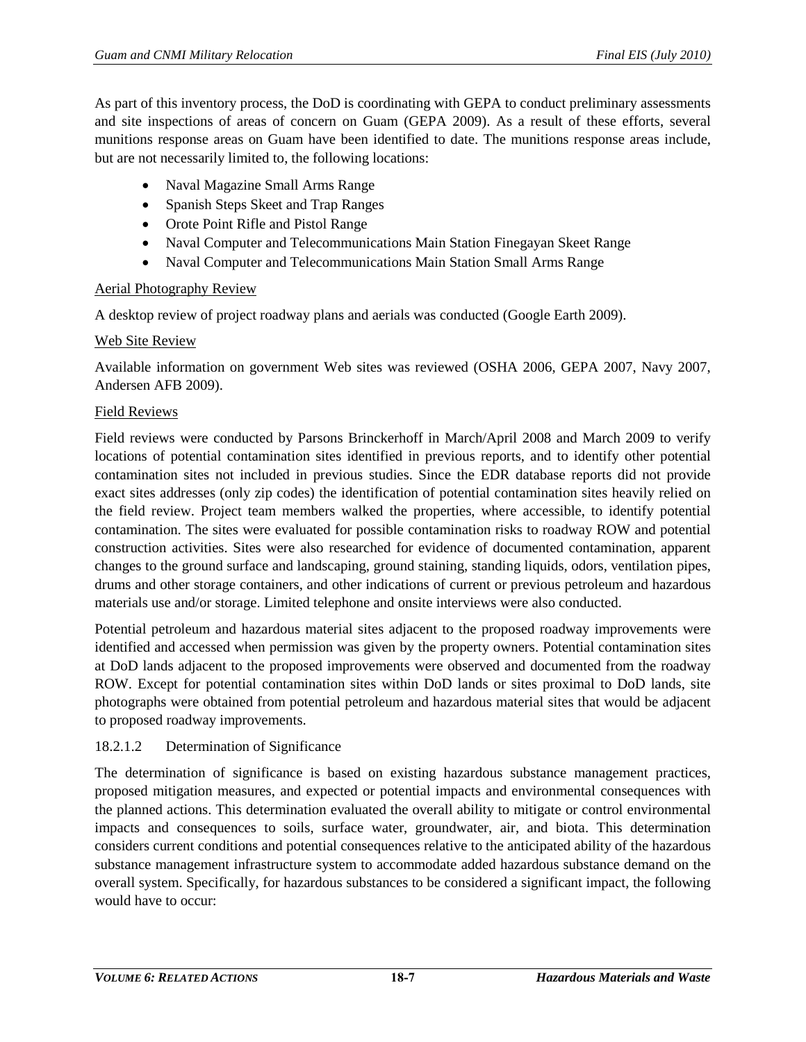As part of this inventory process, the DoD is coordinating with GEPA to conduct preliminary assessments and site inspections of areas of concern on Guam (GEPA 2009). As a result of these efforts, several munitions response areas on Guam have been identified to date. The munitions response areas include, but are not necessarily limited to, the following locations:

- Naval Magazine Small Arms Range
- Spanish Steps Skeet and Trap Ranges
- Orote Point Rifle and Pistol Range
- Naval Computer and Telecommunications Main Station Finegayan Skeet Range
- Naval Computer and Telecommunications Main Station Small Arms Range

# Aerial Photography Review

A desktop review of project roadway plans and aerials was conducted (Google Earth 2009).

# Web Site Review

Available information on government Web sites was reviewed (OSHA 2006, GEPA 2007, Navy 2007, Andersen AFB 2009).

## Field Reviews

Field reviews were conducted by Parsons Brinckerhoff in March/April 2008 and March 2009 to verify locations of potential contamination sites identified in previous reports, and to identify other potential contamination sites not included in previous studies. Since the EDR database reports did not provide exact sites addresses (only zip codes) the identification of potential contamination sites heavily relied on the field review. Project team members walked the properties, where accessible, to identify potential contamination. The sites were evaluated for possible contamination risks to roadway ROW and potential construction activities. Sites were also researched for evidence of documented contamination, apparent changes to the ground surface and landscaping, ground staining, standing liquids, odors, ventilation pipes, drums and other storage containers, and other indications of current or previous petroleum and hazardous materials use and/or storage. Limited telephone and onsite interviews were also conducted.

Potential petroleum and hazardous material sites adjacent to the proposed roadway improvements were identified and accessed when permission was given by the property owners. Potential contamination sites at DoD lands adjacent to the proposed improvements were observed and documented from the roadway ROW. Except for potential contamination sites within DoD lands or sites proximal to DoD lands, site photographs were obtained from potential petroleum and hazardous material sites that would be adjacent to proposed roadway improvements.

## 18.2.1.2 Determination of Significance

The determination of significance is based on existing hazardous substance management practices, proposed mitigation measures, and expected or potential impacts and environmental consequences with the planned actions. This determination evaluated the overall ability to mitigate or control environmental impacts and consequences to soils, surface water, groundwater, air, and biota. This determination considers current conditions and potential consequences relative to the anticipated ability of the hazardous substance management infrastructure system to accommodate added hazardous substance demand on the overall system. Specifically, for hazardous substances to be considered a significant impact, the following would have to occur: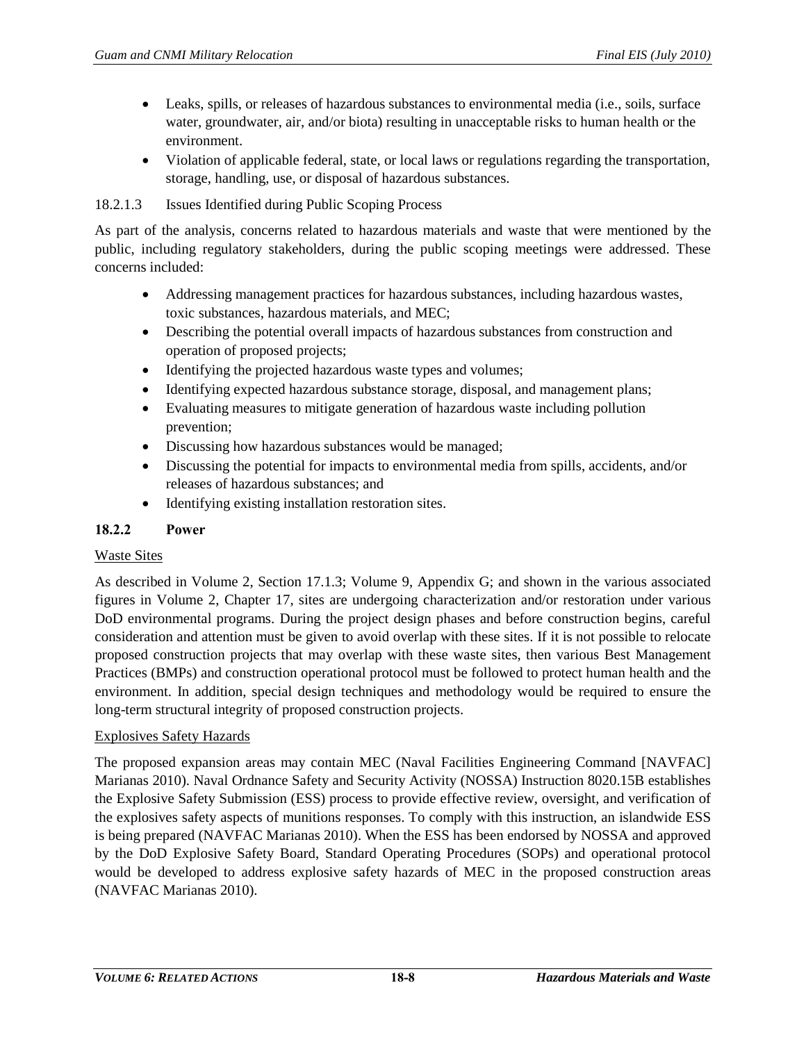- Leaks, spills, or releases of hazardous substances to environmental media (i.e., soils, surface water, groundwater, air, and/or biota) resulting in unacceptable risks to human health or the environment.
- Violation of applicable federal, state, or local laws or regulations regarding the transportation, storage, handling, use, or disposal of hazardous substances.

## 18.2.1.3 Issues Identified during Public Scoping Process

As part of the analysis, concerns related to hazardous materials and waste that were mentioned by the public, including regulatory stakeholders, during the public scoping meetings were addressed. These concerns included:

- Addressing management practices for hazardous substances, including hazardous wastes, toxic substances, hazardous materials, and MEC;
- Describing the potential overall impacts of hazardous substances from construction and operation of proposed projects;
- Identifying the projected hazardous waste types and volumes;
- Identifying expected hazardous substance storage, disposal, and management plans;
- Evaluating measures to mitigate generation of hazardous waste including pollution prevention;
- Discussing how hazardous substances would be managed;
- Discussing the potential for impacts to environmental media from spills, accidents, and/or releases of hazardous substances; and
- Identifying existing installation restoration sites.

# **18.2.2 Power**

## Waste Sites

As described in Volume 2, Section 17.1.3; Volume 9, Appendix G; and shown in the various associated figures in Volume 2, Chapter 17, sites are undergoing characterization and/or restoration under various DoD environmental programs. During the project design phases and before construction begins, careful consideration and attention must be given to avoid overlap with these sites. If it is not possible to relocate proposed construction projects that may overlap with these waste sites, then various Best Management Practices (BMPs) and construction operational protocol must be followed to protect human health and the environment. In addition, special design techniques and methodology would be required to ensure the long-term structural integrity of proposed construction projects.

## Explosives Safety Hazards

The proposed expansion areas may contain MEC (Naval Facilities Engineering Command [NAVFAC] Marianas 2010). Naval Ordnance Safety and Security Activity (NOSSA) Instruction 8020.15B establishes the Explosive Safety Submission (ESS) process to provide effective review, oversight, and verification of the explosives safety aspects of munitions responses. To comply with this instruction, an islandwide ESS is being prepared (NAVFAC Marianas 2010). When the ESS has been endorsed by NOSSA and approved by the DoD Explosive Safety Board, Standard Operating Procedures (SOPs) and operational protocol would be developed to address explosive safety hazards of MEC in the proposed construction areas (NAVFAC Marianas 2010).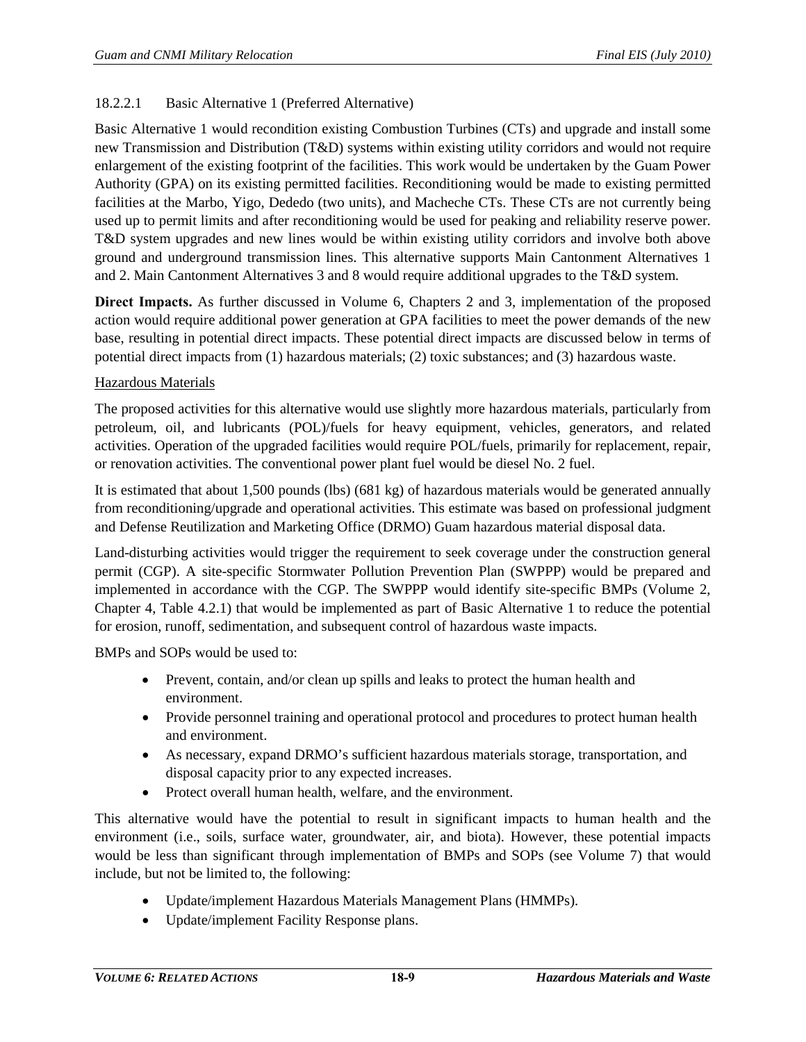# 18.2.2.1 Basic Alternative 1 (Preferred Alternative)

Basic Alternative 1 would recondition existing Combustion Turbines (CTs) and upgrade and install some new Transmission and Distribution (T&D) systems within existing utility corridors and would not require enlargement of the existing footprint of the facilities. This work would be undertaken by the Guam Power Authority (GPA) on its existing permitted facilities. Reconditioning would be made to existing permitted facilities at the Marbo, Yigo, Dededo (two units), and Macheche CTs. These CTs are not currently being used up to permit limits and after reconditioning would be used for peaking and reliability reserve power. T&D system upgrades and new lines would be within existing utility corridors and involve both above ground and underground transmission lines. This alternative supports Main Cantonment Alternatives 1 and 2. Main Cantonment Alternatives 3 and 8 would require additional upgrades to the T&D system.

**Direct Impacts.** As further discussed in Volume 6, Chapters 2 and 3, implementation of the proposed action would require additional power generation at GPA facilities to meet the power demands of the new base, resulting in potential direct impacts. These potential direct impacts are discussed below in terms of potential direct impacts from (1) hazardous materials; (2) toxic substances; and (3) hazardous waste.

## Hazardous Materials

The proposed activities for this alternative would use slightly more hazardous materials, particularly from petroleum, oil, and lubricants (POL)/fuels for heavy equipment, vehicles, generators, and related activities. Operation of the upgraded facilities would require POL/fuels, primarily for replacement, repair, or renovation activities. The conventional power plant fuel would be diesel No. 2 fuel.

It is estimated that about 1,500 pounds (lbs) (681 kg) of hazardous materials would be generated annually from reconditioning/upgrade and operational activities. This estimate was based on professional judgment and Defense Reutilization and Marketing Office (DRMO) Guam hazardous material disposal data.

Land-disturbing activities would trigger the requirement to seek coverage under the construction general permit (CGP). A site-specific Stormwater Pollution Prevention Plan (SWPPP) would be prepared and implemented in accordance with the CGP. The SWPPP would identify site-specific BMPs (Volume 2, Chapter 4, Table 4.2.1) that would be implemented as part of Basic Alternative 1 to reduce the potential for erosion, runoff, sedimentation, and subsequent control of hazardous waste impacts.

BMPs and SOPs would be used to:

- Prevent, contain, and/or clean up spills and leaks to protect the human health and environment.
- Provide personnel training and operational protocol and procedures to protect human health and environment.
- As necessary, expand DRMO's sufficient hazardous materials storage, transportation, and disposal capacity prior to any expected increases.
- Protect overall human health, welfare, and the environment.

This alternative would have the potential to result in significant impacts to human health and the environment (i.e., soils, surface water, groundwater, air, and biota). However, these potential impacts would be less than significant through implementation of BMPs and SOPs (see Volume 7) that would include, but not be limited to, the following:

- Update/implement Hazardous Materials Management Plans (HMMPs).
- Update/implement Facility Response plans.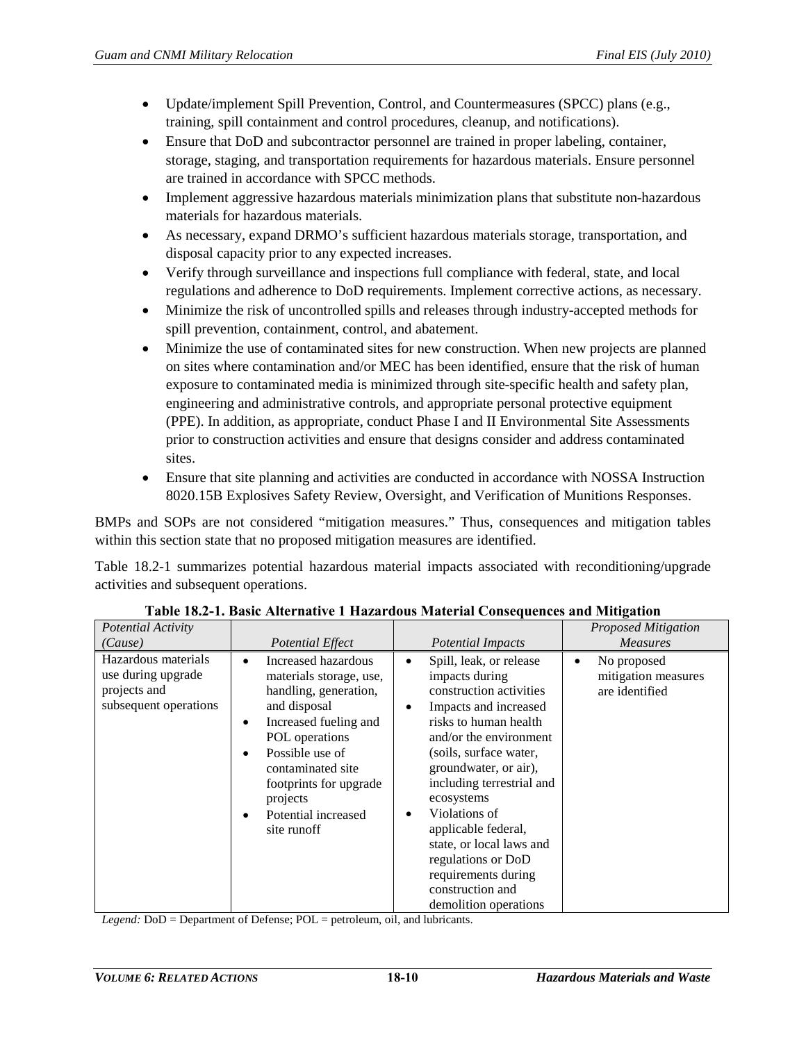- Update/implement Spill Prevention, Control, and Countermeasures (SPCC) plans (e.g., training, spill containment and control procedures, cleanup, and notifications).
- Ensure that DoD and subcontractor personnel are trained in proper labeling, container, storage, staging, and transportation requirements for hazardous materials. Ensure personnel are trained in accordance with SPCC methods.
- Implement aggressive hazardous materials minimization plans that substitute non-hazardous materials for hazardous materials.
- As necessary, expand DRMO's sufficient hazardous materials storage, transportation, and disposal capacity prior to any expected increases.
- Verify through surveillance and inspections full compliance with federal, state, and local regulations and adherence to DoD requirements. Implement corrective actions, as necessary.
- Minimize the risk of uncontrolled spills and releases through industry-accepted methods for spill prevention, containment, control, and abatement.
- Minimize the use of contaminated sites for new construction. When new projects are planned on sites where contamination and/or MEC has been identified, ensure that the risk of human exposure to contaminated media is minimized through site-specific health and safety plan, engineering and administrative controls, and appropriate personal protective equipment (PPE). In addition, as appropriate, conduct Phase I and II Environmental Site Assessments prior to construction activities and ensure that designs consider and address contaminated sites.
- Ensure that site planning and activities are conducted in accordance with NOSSA Instruction 8020.15B Explosives Safety Review, Oversight, and Verification of Munitions Responses.

BMPs and SOPs are not considered "mitigation measures." Thus, consequences and mitigation tables within this section state that no proposed mitigation measures are identified.

[Table 18.2-1](#page-9-0) summarizes potential hazardous material impacts associated with reconditioning/upgrade activities and subsequent operations.

<span id="page-9-0"></span>

| Potential Activity<br>(Cause)                                                      | <b>Potential Effect</b>                                                                                                                                                                                                                                | <b>Potential Impacts</b>                                                                                                                                                                                                                                                                                                                                                                                                  | <b>Proposed Mitigation</b><br><b>Measures</b>        |
|------------------------------------------------------------------------------------|--------------------------------------------------------------------------------------------------------------------------------------------------------------------------------------------------------------------------------------------------------|---------------------------------------------------------------------------------------------------------------------------------------------------------------------------------------------------------------------------------------------------------------------------------------------------------------------------------------------------------------------------------------------------------------------------|------------------------------------------------------|
| Hazardous materials<br>use during upgrade<br>projects and<br>subsequent operations | Increased hazardous<br>materials storage, use,<br>handling, generation,<br>and disposal<br>Increased fueling and<br>POL operations<br>Possible use of<br>contaminated site<br>footprints for upgrade<br>projects<br>Potential increased<br>site runoff | Spill, leak, or release<br>$\bullet$<br>impacts during<br>construction activities<br>Impacts and increased<br>risks to human health<br>and/or the environment<br>(soils, surface water,<br>groundwater, or air),<br>including terrestrial and<br>ecosystems<br>Violations of<br>applicable federal,<br>state, or local laws and<br>regulations or DoD<br>requirements during<br>construction and<br>demolition operations | No proposed<br>mitigation measures<br>are identified |

**Table 18.2-1. Basic Alternative 1 Hazardous Material Consequences and Mitigation**

*Legend:* DoD = Department of Defense; POL = petroleum, oil, and lubricants.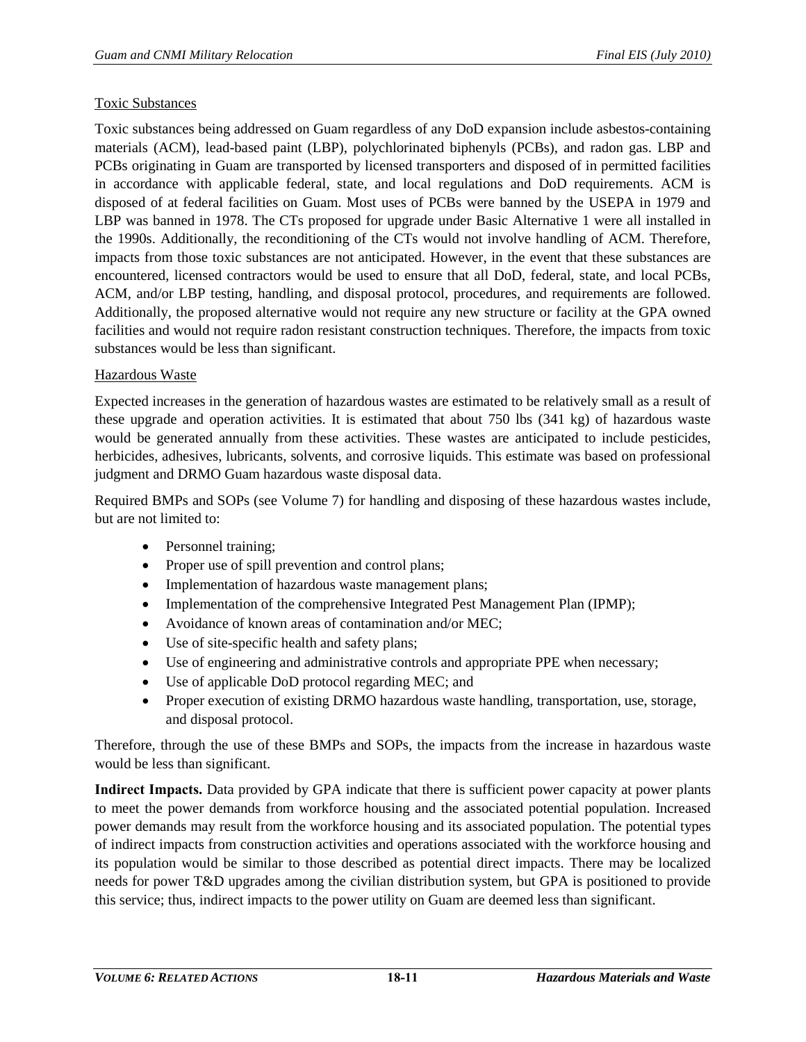## Toxic Substances

Toxic substances being addressed on Guam regardless of any DoD expansion include asbestos-containing materials (ACM), lead-based paint (LBP), polychlorinated biphenyls (PCBs), and radon gas. LBP and PCBs originating in Guam are transported by licensed transporters and disposed of in permitted facilities in accordance with applicable federal, state, and local regulations and DoD requirements. ACM is disposed of at federal facilities on Guam. Most uses of PCBs were banned by the USEPA in 1979 and LBP was banned in 1978. The CTs proposed for upgrade under Basic Alternative 1 were all installed in the 1990s. Additionally, the reconditioning of the CTs would not involve handling of ACM. Therefore, impacts from those toxic substances are not anticipated. However, in the event that these substances are encountered, licensed contractors would be used to ensure that all DoD, federal, state, and local PCBs, ACM, and/or LBP testing, handling, and disposal protocol, procedures, and requirements are followed. Additionally, the proposed alternative would not require any new structure or facility at the GPA owned facilities and would not require radon resistant construction techniques. Therefore, the impacts from toxic substances would be less than significant.

## Hazardous Waste

Expected increases in the generation of hazardous wastes are estimated to be relatively small as a result of these upgrade and operation activities. It is estimated that about 750 lbs (341 kg) of hazardous waste would be generated annually from these activities. These wastes are anticipated to include pesticides, herbicides, adhesives, lubricants, solvents, and corrosive liquids. This estimate was based on professional judgment and DRMO Guam hazardous waste disposal data.

Required BMPs and SOPs (see Volume 7) for handling and disposing of these hazardous wastes include, but are not limited to:

- Personnel training;
- Proper use of spill prevention and control plans;
- Implementation of hazardous waste management plans;
- Implementation of the comprehensive Integrated Pest Management Plan (IPMP);
- Avoidance of known areas of contamination and/or MEC;
- Use of site-specific health and safety plans;
- Use of engineering and administrative controls and appropriate PPE when necessary;
- Use of applicable DoD protocol regarding MEC; and
- Proper execution of existing DRMO hazardous waste handling, transportation, use, storage, and disposal protocol.

Therefore, through the use of these BMPs and SOPs, the impacts from the increase in hazardous waste would be less than significant.

**Indirect Impacts.** Data provided by GPA indicate that there is sufficient power capacity at power plants to meet the power demands from workforce housing and the associated potential population. Increased power demands may result from the workforce housing and its associated population. The potential types of indirect impacts from construction activities and operations associated with the workforce housing and its population would be similar to those described as potential direct impacts. There may be localized needs for power T&D upgrades among the civilian distribution system, but GPA is positioned to provide this service; thus, indirect impacts to the power utility on Guam are deemed less than significant.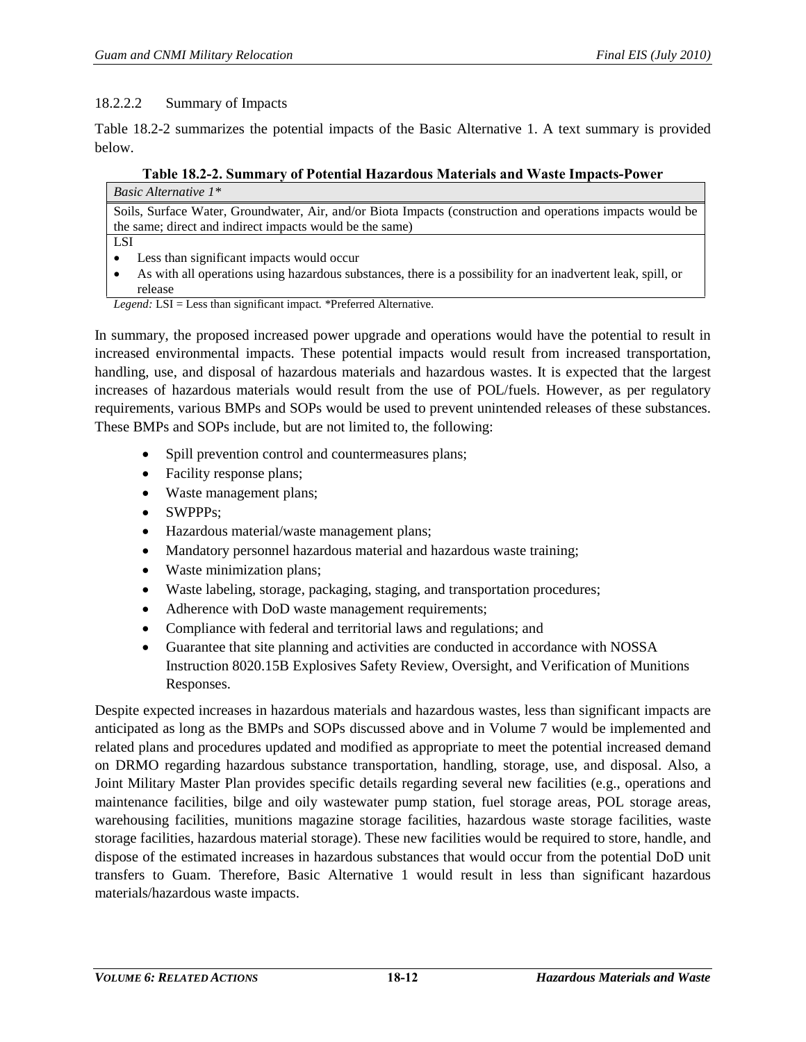#### 18.2.2.2 Summary of Impacts

[Table 18.2-2](#page-11-0) summarizes the potential impacts of the Basic Alternative 1. A text summary is provided below.

#### **Table 18.2-2. Summary of Potential Hazardous Materials and Waste Impacts-Power**

<span id="page-11-0"></span>

| <i>Basic Alternative</i> $1^*$                                                                               |
|--------------------------------------------------------------------------------------------------------------|
| Soils, Surface Water, Groundwater, Air, and/or Biota Impacts (construction and operations impacts would be   |
| the same; direct and indirect impacts would be the same)                                                     |
| <b>LSI</b>                                                                                                   |
| Less than significant impacts would occur                                                                    |
| As with all operations using hazardous substances, there is a possibility for an inadvertent leak, spill, or |

release *Legend:* LSI = Less than significant impact*.* \*Preferred Alternative.

In summary, the proposed increased power upgrade and operations would have the potential to result in increased environmental impacts. These potential impacts would result from increased transportation, handling, use, and disposal of hazardous materials and hazardous wastes. It is expected that the largest increases of hazardous materials would result from the use of POL/fuels. However, as per regulatory requirements, various BMPs and SOPs would be used to prevent unintended releases of these substances. These BMPs and SOPs include, but are not limited to, the following:

- Spill prevention control and countermeasures plans;
- Facility response plans;
- Waste management plans;
- SWPPPs:
- Hazardous material/waste management plans;
- Mandatory personnel hazardous material and hazardous waste training;
- Waste minimization plans;
- Waste labeling, storage, packaging, staging, and transportation procedures;
- Adherence with DoD waste management requirements;
- Compliance with federal and territorial laws and regulations; and
- Guarantee that site planning and activities are conducted in accordance with NOSSA Instruction 8020.15B Explosives Safety Review, Oversight, and Verification of Munitions Responses.

Despite expected increases in hazardous materials and hazardous wastes, less than significant impacts are anticipated as long as the BMPs and SOPs discussed above and in Volume 7 would be implemented and related plans and procedures updated and modified as appropriate to meet the potential increased demand on DRMO regarding hazardous substance transportation, handling, storage, use, and disposal. Also, a Joint Military Master Plan provides specific details regarding several new facilities (e.g., operations and maintenance facilities, bilge and oily wastewater pump station, fuel storage areas, POL storage areas, warehousing facilities, munitions magazine storage facilities, hazardous waste storage facilities, waste storage facilities, hazardous material storage). These new facilities would be required to store, handle, and dispose of the estimated increases in hazardous substances that would occur from the potential DoD unit transfers to Guam. Therefore, Basic Alternative 1 would result in less than significant hazardous materials/hazardous waste impacts.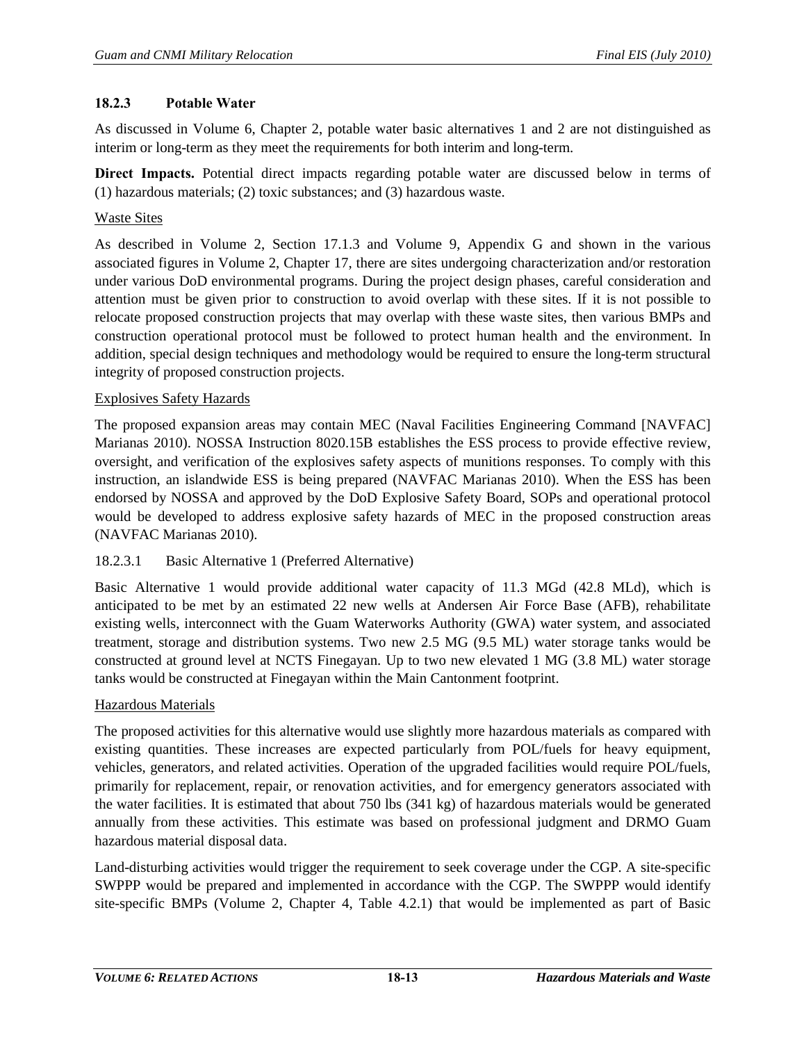#### **18.2.3 Potable Water**

As discussed in Volume 6, Chapter 2, potable water basic alternatives 1 and 2 are not distinguished as interim or long-term as they meet the requirements for both interim and long-term.

**Direct Impacts.** Potential direct impacts regarding potable water are discussed below in terms of (1) hazardous materials; (2) toxic substances; and (3) hazardous waste.

#### Waste Sites

As described in Volume 2, Section 17.1.3 and Volume 9, Appendix G and shown in the various associated figures in Volume 2, Chapter 17, there are sites undergoing characterization and/or restoration under various DoD environmental programs. During the project design phases, careful consideration and attention must be given prior to construction to avoid overlap with these sites. If it is not possible to relocate proposed construction projects that may overlap with these waste sites, then various BMPs and construction operational protocol must be followed to protect human health and the environment. In addition, special design techniques and methodology would be required to ensure the long-term structural integrity of proposed construction projects.

#### Explosives Safety Hazards

The proposed expansion areas may contain MEC (Naval Facilities Engineering Command [NAVFAC] Marianas 2010). NOSSA Instruction 8020.15B establishes the ESS process to provide effective review, oversight, and verification of the explosives safety aspects of munitions responses. To comply with this instruction, an islandwide ESS is being prepared (NAVFAC Marianas 2010). When the ESS has been endorsed by NOSSA and approved by the DoD Explosive Safety Board, SOPs and operational protocol would be developed to address explosive safety hazards of MEC in the proposed construction areas (NAVFAC Marianas 2010).

## 18.2.3.1 Basic Alternative 1 (Preferred Alternative)

Basic Alternative 1 would provide additional water capacity of 11.3 MGd (42.8 MLd), which is anticipated to be met by an estimated 22 new wells at Andersen Air Force Base (AFB), rehabilitate existing wells, interconnect with the Guam Waterworks Authority (GWA) water system, and associated treatment, storage and distribution systems. Two new 2.5 MG (9.5 ML) water storage tanks would be constructed at ground level at NCTS Finegayan. Up to two new elevated 1 MG (3.8 ML) water storage tanks would be constructed at Finegayan within the Main Cantonment footprint.

#### Hazardous Materials

The proposed activities for this alternative would use slightly more hazardous materials as compared with existing quantities. These increases are expected particularly from POL/fuels for heavy equipment, vehicles, generators, and related activities. Operation of the upgraded facilities would require POL/fuels, primarily for replacement, repair, or renovation activities, and for emergency generators associated with the water facilities. It is estimated that about 750 lbs (341 kg) of hazardous materials would be generated annually from these activities. This estimate was based on professional judgment and DRMO Guam hazardous material disposal data.

Land-disturbing activities would trigger the requirement to seek coverage under the CGP. A site-specific SWPPP would be prepared and implemented in accordance with the CGP. The SWPPP would identify site-specific BMPs (Volume 2, Chapter 4, Table 4.2.1) that would be implemented as part of Basic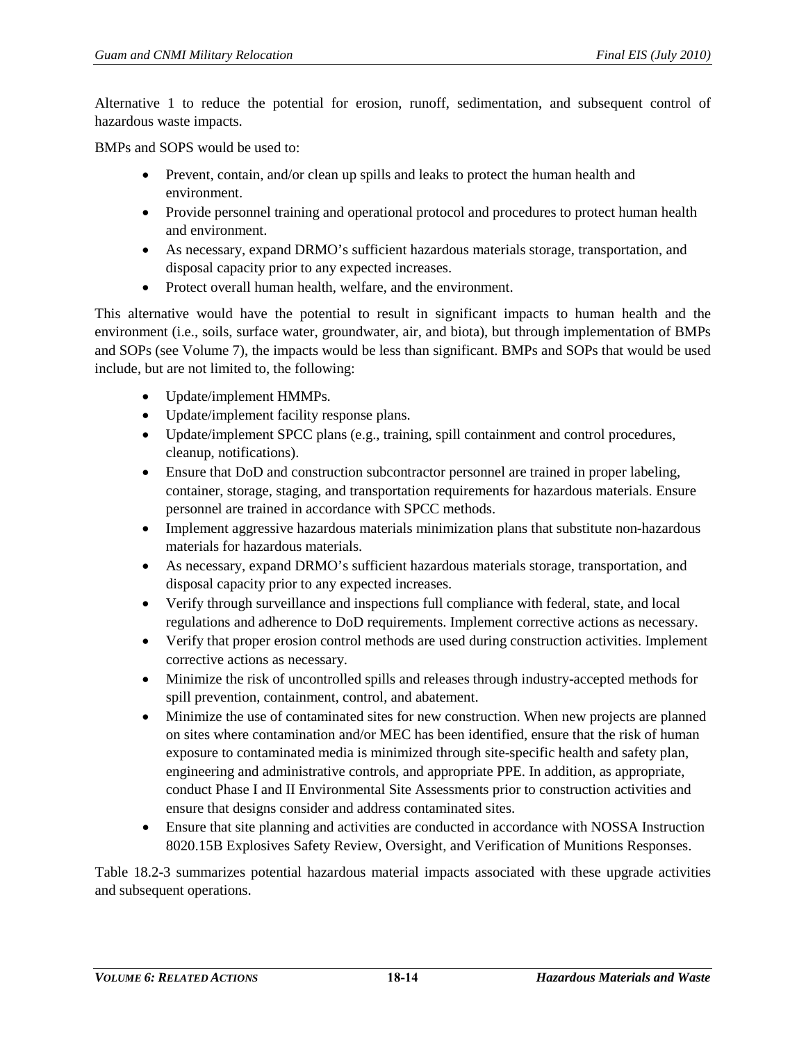Alternative 1 to reduce the potential for erosion, runoff, sedimentation, and subsequent control of hazardous waste impacts.

BMPs and SOPS would be used to:

- Prevent, contain, and/or clean up spills and leaks to protect the human health and environment.
- Provide personnel training and operational protocol and procedures to protect human health and environment.
- As necessary, expand DRMO's sufficient hazardous materials storage, transportation, and disposal capacity prior to any expected increases.
- Protect overall human health, welfare, and the environment.

This alternative would have the potential to result in significant impacts to human health and the environment (i.e., soils, surface water, groundwater, air, and biota), but through implementation of BMPs and SOPs (see Volume 7), the impacts would be less than significant. BMPs and SOPs that would be used include, but are not limited to, the following:

- Update/implement HMMPs.
- Update/implement facility response plans.
- Update/implement SPCC plans (e.g., training, spill containment and control procedures, cleanup, notifications).
- Ensure that DoD and construction subcontractor personnel are trained in proper labeling, container, storage, staging, and transportation requirements for hazardous materials. Ensure personnel are trained in accordance with SPCC methods.
- Implement aggressive hazardous materials minimization plans that substitute non-hazardous materials for hazardous materials.
- As necessary, expand DRMO's sufficient hazardous materials storage, transportation, and disposal capacity prior to any expected increases.
- Verify through surveillance and inspections full compliance with federal, state, and local regulations and adherence to DoD requirements. Implement corrective actions as necessary.
- Verify that proper erosion control methods are used during construction activities. Implement corrective actions as necessary.
- Minimize the risk of uncontrolled spills and releases through industry-accepted methods for spill prevention, containment, control, and abatement.
- Minimize the use of contaminated sites for new construction. When new projects are planned on sites where contamination and/or MEC has been identified, ensure that the risk of human exposure to contaminated media is minimized through site-specific health and safety plan, engineering and administrative controls, and appropriate PPE. In addition, as appropriate, conduct Phase I and II Environmental Site Assessments prior to construction activities and ensure that designs consider and address contaminated sites.
- Ensure that site planning and activities are conducted in accordance with NOSSA Instruction 8020.15B Explosives Safety Review, Oversight, and Verification of Munitions Responses.

[Table 18.2-3](#page-14-0) summarizes potential hazardous material impacts associated with these upgrade activities and subsequent operations.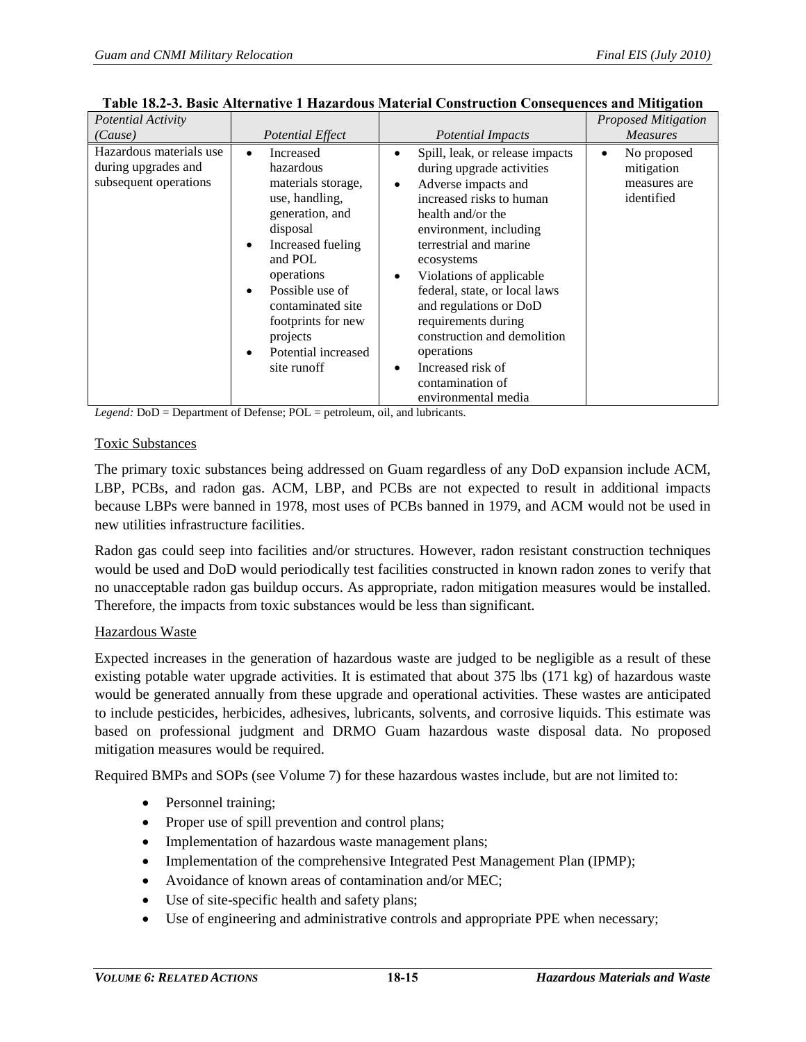| Potential Activity                                                      |                                                                                                                                                                                                                                                                                                         |                                                                                                                                                                                                                                                                                                                                                                                                                                                                                       | <b>Proposed Mitigation</b>                                           |
|-------------------------------------------------------------------------|---------------------------------------------------------------------------------------------------------------------------------------------------------------------------------------------------------------------------------------------------------------------------------------------------------|---------------------------------------------------------------------------------------------------------------------------------------------------------------------------------------------------------------------------------------------------------------------------------------------------------------------------------------------------------------------------------------------------------------------------------------------------------------------------------------|----------------------------------------------------------------------|
| (Cause)                                                                 | Potential Effect                                                                                                                                                                                                                                                                                        | Potential Impacts                                                                                                                                                                                                                                                                                                                                                                                                                                                                     | <b>Measures</b>                                                      |
| Hazardous materials use<br>during upgrades and<br>subsequent operations | Increased<br>$\bullet$<br>hazardous<br>materials storage,<br>use, handling,<br>generation, and<br>disposal<br>Increased fueling<br>$\bullet$<br>and POL<br>operations<br>Possible use of<br>$\bullet$<br>contaminated site<br>footprints for new<br>projects<br>Potential increased<br>٠<br>site runoff | Spill, leak, or release impacts<br>$\bullet$<br>during upgrade activities<br>Adverse impacts and<br>$\bullet$<br>increased risks to human<br>health and/or the<br>environment, including<br>terrestrial and marine<br>ecosystems<br>Violations of applicable<br>$\bullet$<br>federal, state, or local laws<br>and regulations or DoD<br>requirements during<br>construction and demolition<br>operations<br>Increased risk of<br>$\bullet$<br>contamination of<br>environmental media | No proposed<br>$\bullet$<br>mitigation<br>measures are<br>identified |

<span id="page-14-0"></span>

| Table 18.2-3. Basic Alternative 1 Hazardous Material Construction Consequences and Mitigation |
|-----------------------------------------------------------------------------------------------|
|-----------------------------------------------------------------------------------------------|

*Legend:* DoD = Department of Defense; POL = petroleum, oil, and lubricants.

## Toxic Substances

The primary toxic substances being addressed on Guam regardless of any DoD expansion include ACM, LBP, PCBs, and radon gas. ACM, LBP, and PCBs are not expected to result in additional impacts because LBPs were banned in 1978, most uses of PCBs banned in 1979, and ACM would not be used in new utilities infrastructure facilities.

Radon gas could seep into facilities and/or structures. However, radon resistant construction techniques would be used and DoD would periodically test facilities constructed in known radon zones to verify that no unacceptable radon gas buildup occurs. As appropriate, radon mitigation measures would be installed. Therefore, the impacts from toxic substances would be less than significant.

## Hazardous Waste

Expected increases in the generation of hazardous waste are judged to be negligible as a result of these existing potable water upgrade activities. It is estimated that about 375 lbs (171 kg) of hazardous waste would be generated annually from these upgrade and operational activities. These wastes are anticipated to include pesticides, herbicides, adhesives, lubricants, solvents, and corrosive liquids. This estimate was based on professional judgment and DRMO Guam hazardous waste disposal data. No proposed mitigation measures would be required.

Required BMPs and SOPs (see Volume 7) for these hazardous wastes include, but are not limited to:

- Personnel training;
- Proper use of spill prevention and control plans;
- Implementation of hazardous waste management plans;
- Implementation of the comprehensive Integrated Pest Management Plan (IPMP);
- Avoidance of known areas of contamination and/or MEC;
- Use of site-specific health and safety plans;
- Use of engineering and administrative controls and appropriate PPE when necessary;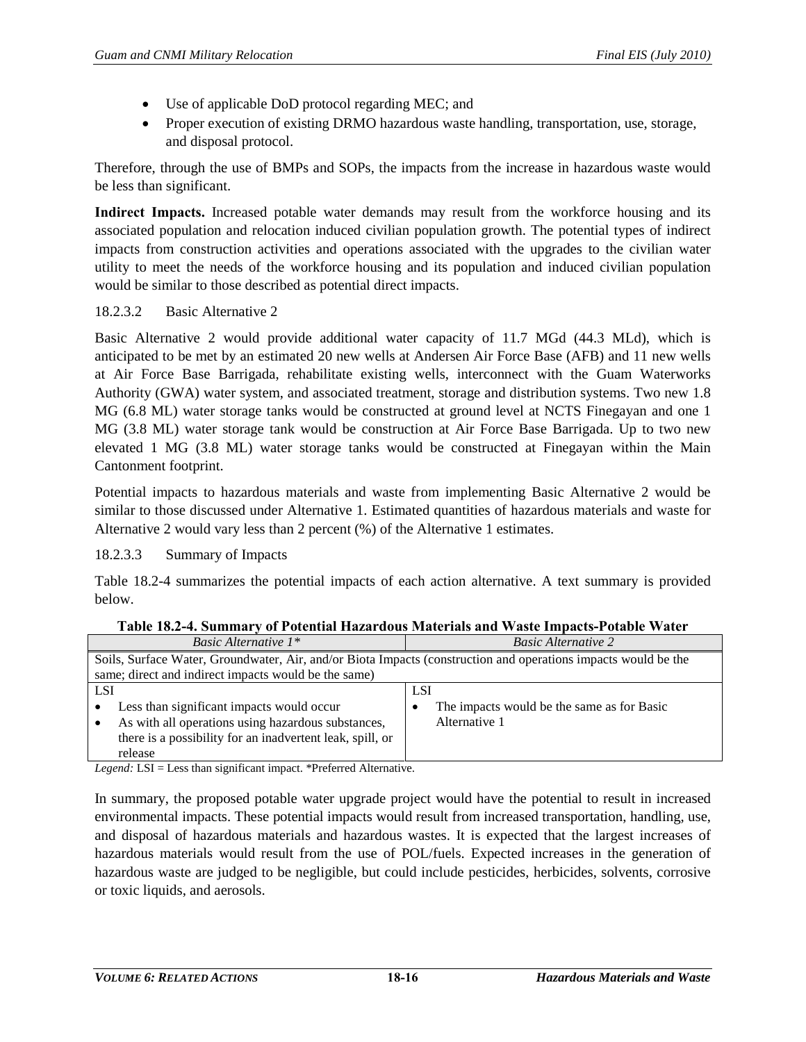- Use of applicable DoD protocol regarding MEC; and
- Proper execution of existing DRMO hazardous waste handling, transportation, use, storage, and disposal protocol.

Therefore, through the use of BMPs and SOPs, the impacts from the increase in hazardous waste would be less than significant.

**Indirect Impacts.** Increased potable water demands may result from the workforce housing and its associated population and relocation induced civilian population growth. The potential types of indirect impacts from construction activities and operations associated with the upgrades to the civilian water utility to meet the needs of the workforce housing and its population and induced civilian population would be similar to those described as potential direct impacts.

## 18.2.3.2 Basic Alternative 2

Basic Alternative 2 would provide additional water capacity of 11.7 MGd (44.3 MLd), which is anticipated to be met by an estimated 20 new wells at Andersen Air Force Base (AFB) and 11 new wells at Air Force Base Barrigada, rehabilitate existing wells, interconnect with the Guam Waterworks Authority (GWA) water system, and associated treatment, storage and distribution systems. Two new 1.8 MG (6.8 ML) water storage tanks would be constructed at ground level at NCTS Finegayan and one 1 MG (3.8 ML) water storage tank would be construction at Air Force Base Barrigada. Up to two new elevated 1 MG (3.8 ML) water storage tanks would be constructed at Finegayan within the Main Cantonment footprint.

Potential impacts to hazardous materials and waste from implementing Basic Alternative 2 would be similar to those discussed under Alternative 1. Estimated quantities of hazardous materials and waste for Alternative 2 would vary less than 2 percent (%) of the Alternative 1 estimates.

18.2.3.3 Summary of Impacts

[Table 18.2-4](#page-15-0) summarizes the potential impacts of each action alternative. A text summary is provided below.

<span id="page-15-0"></span>

| <i>Basic Alternative</i> $1^*$                                                                                 | <b>Basic Alternative 2</b>                 |  |  |
|----------------------------------------------------------------------------------------------------------------|--------------------------------------------|--|--|
| Soils, Surface Water, Groundwater, Air, and/or Biota Impacts (construction and operations impacts would be the |                                            |  |  |
| same; direct and indirect impacts would be the same)                                                           |                                            |  |  |
| <b>LSI</b>                                                                                                     | <b>LSI</b>                                 |  |  |
| Less than significant impacts would occur                                                                      | The impacts would be the same as for Basic |  |  |
| As with all operations using hazardous substances,                                                             | Alternative 1                              |  |  |
| there is a possibility for an inadvertent leak, spill, or                                                      |                                            |  |  |
| release                                                                                                        |                                            |  |  |
| 1 T T<br>$\sim$ $\sim$ $\sim$ $\sim$<br>1.1.1<br>$\sim$ 1.                                                     |                                            |  |  |

**Table 18.2-4. Summary of Potential Hazardous Materials and Waste Impacts-Potable Water**

*Legend:* LSI = Less than significant impact. \*Preferred Alternative.

In summary, the proposed potable water upgrade project would have the potential to result in increased environmental impacts. These potential impacts would result from increased transportation, handling, use, and disposal of hazardous materials and hazardous wastes. It is expected that the largest increases of hazardous materials would result from the use of POL/fuels. Expected increases in the generation of hazardous waste are judged to be negligible, but could include pesticides, herbicides, solvents, corrosive or toxic liquids, and aerosols.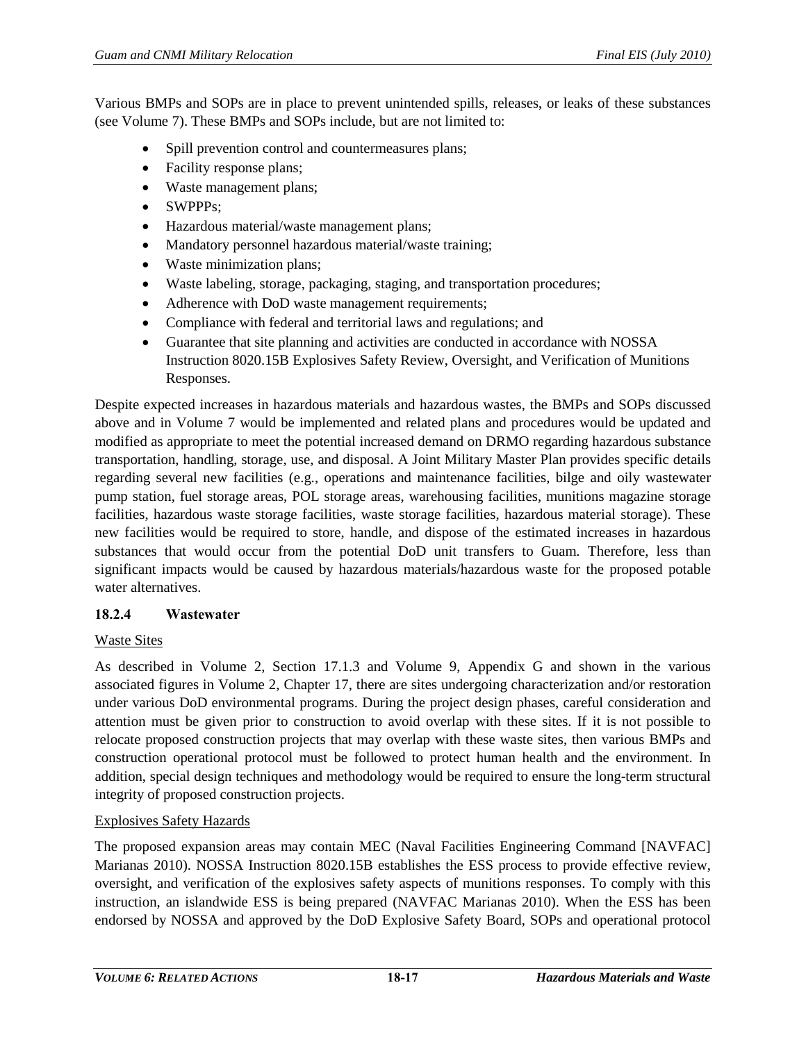Various BMPs and SOPs are in place to prevent unintended spills, releases, or leaks of these substances (see Volume 7). These BMPs and SOPs include, but are not limited to:

- Spill prevention control and countermeasures plans;
- Facility response plans;
- Waste management plans;
- SWPPPs:
- Hazardous material/waste management plans;
- Mandatory personnel hazardous material/waste training;
- Waste minimization plans;
- Waste labeling, storage, packaging, staging, and transportation procedures;
- Adherence with DoD waste management requirements;
- Compliance with federal and territorial laws and regulations; and
- Guarantee that site planning and activities are conducted in accordance with NOSSA Instruction 8020.15B Explosives Safety Review, Oversight, and Verification of Munitions Responses.

Despite expected increases in hazardous materials and hazardous wastes, the BMPs and SOPs discussed above and in Volume 7 would be implemented and related plans and procedures would be updated and modified as appropriate to meet the potential increased demand on DRMO regarding hazardous substance transportation, handling, storage, use, and disposal. A Joint Military Master Plan provides specific details regarding several new facilities (e.g., operations and maintenance facilities, bilge and oily wastewater pump station, fuel storage areas, POL storage areas, warehousing facilities, munitions magazine storage facilities, hazardous waste storage facilities, waste storage facilities, hazardous material storage). These new facilities would be required to store, handle, and dispose of the estimated increases in hazardous substances that would occur from the potential DoD unit transfers to Guam. Therefore, less than significant impacts would be caused by hazardous materials/hazardous waste for the proposed potable water alternatives.

#### **18.2.4 Wastewater**

#### Waste Sites

As described in Volume 2, Section 17.1.3 and Volume 9, Appendix G and shown in the various associated figures in Volume 2, Chapter 17, there are sites undergoing characterization and/or restoration under various DoD environmental programs. During the project design phases, careful consideration and attention must be given prior to construction to avoid overlap with these sites. If it is not possible to relocate proposed construction projects that may overlap with these waste sites, then various BMPs and construction operational protocol must be followed to protect human health and the environment. In addition, special design techniques and methodology would be required to ensure the long-term structural integrity of proposed construction projects.

#### Explosives Safety Hazards

The proposed expansion areas may contain MEC (Naval Facilities Engineering Command [NAVFAC] Marianas 2010). NOSSA Instruction 8020.15B establishes the ESS process to provide effective review, oversight, and verification of the explosives safety aspects of munitions responses. To comply with this instruction, an islandwide ESS is being prepared (NAVFAC Marianas 2010). When the ESS has been endorsed by NOSSA and approved by the DoD Explosive Safety Board, SOPs and operational protocol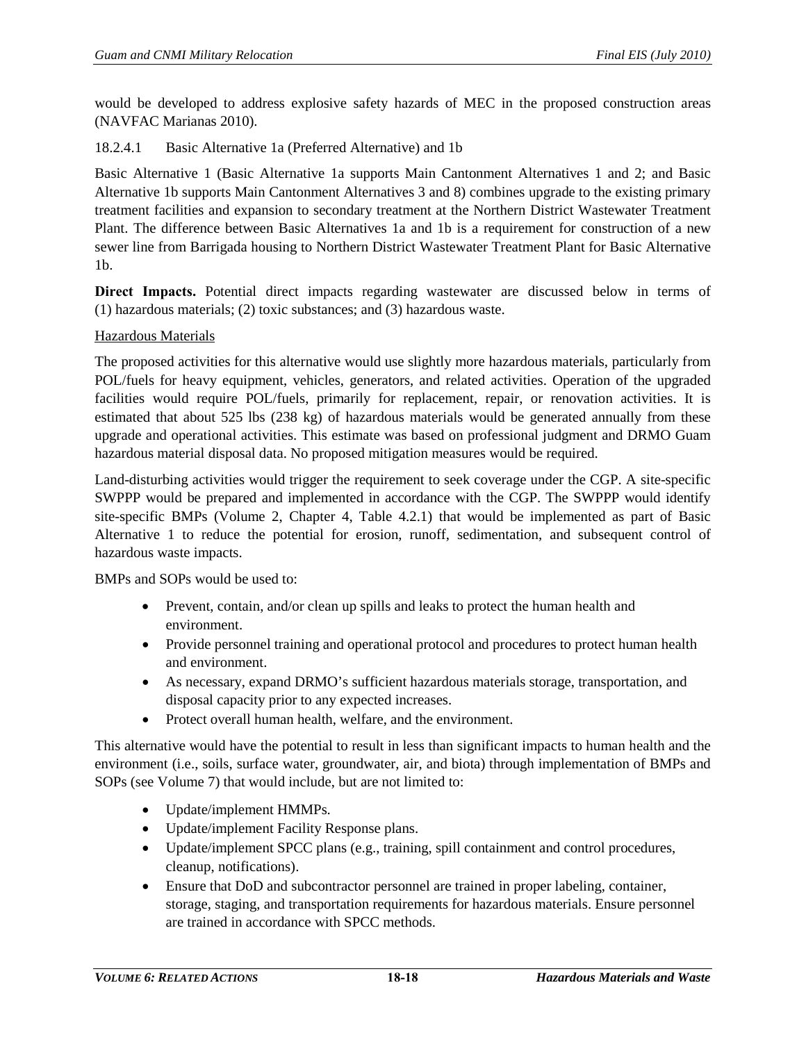would be developed to address explosive safety hazards of MEC in the proposed construction areas (NAVFAC Marianas 2010).

# 18.2.4.1 Basic Alternative 1a (Preferred Alternative) and 1b

Basic Alternative 1 (Basic Alternative 1a supports Main Cantonment Alternatives 1 and 2; and Basic Alternative 1b supports Main Cantonment Alternatives 3 and 8) combines upgrade to the existing primary treatment facilities and expansion to secondary treatment at the Northern District Wastewater Treatment Plant. The difference between Basic Alternatives 1a and 1b is a requirement for construction of a new sewer line from Barrigada housing to Northern District Wastewater Treatment Plant for Basic Alternative 1b.

**Direct Impacts.** Potential direct impacts regarding wastewater are discussed below in terms of (1) hazardous materials; (2) toxic substances; and (3) hazardous waste.

## Hazardous Materials

The proposed activities for this alternative would use slightly more hazardous materials, particularly from POL/fuels for heavy equipment, vehicles, generators, and related activities. Operation of the upgraded facilities would require POL/fuels, primarily for replacement, repair, or renovation activities. It is estimated that about 525 lbs (238 kg) of hazardous materials would be generated annually from these upgrade and operational activities. This estimate was based on professional judgment and DRMO Guam hazardous material disposal data. No proposed mitigation measures would be required.

Land-disturbing activities would trigger the requirement to seek coverage under the CGP. A site-specific SWPPP would be prepared and implemented in accordance with the CGP. The SWPPP would identify site-specific BMPs (Volume 2, Chapter 4, Table 4.2.1) that would be implemented as part of Basic Alternative 1 to reduce the potential for erosion, runoff, sedimentation, and subsequent control of hazardous waste impacts.

BMPs and SOPs would be used to:

- Prevent, contain, and/or clean up spills and leaks to protect the human health and environment.
- Provide personnel training and operational protocol and procedures to protect human health and environment.
- As necessary, expand DRMO's sufficient hazardous materials storage, transportation, and disposal capacity prior to any expected increases.
- Protect overall human health, welfare, and the environment.

This alternative would have the potential to result in less than significant impacts to human health and the environment (i.e., soils, surface water, groundwater, air, and biota) through implementation of BMPs and SOPs (see Volume 7) that would include, but are not limited to:

- Update/implement HMMPs.
- Update/implement Facility Response plans.
- Update/implement SPCC plans (e.g., training, spill containment and control procedures, cleanup, notifications).
- Ensure that DoD and subcontractor personnel are trained in proper labeling, container, storage, staging, and transportation requirements for hazardous materials. Ensure personnel are trained in accordance with SPCC methods.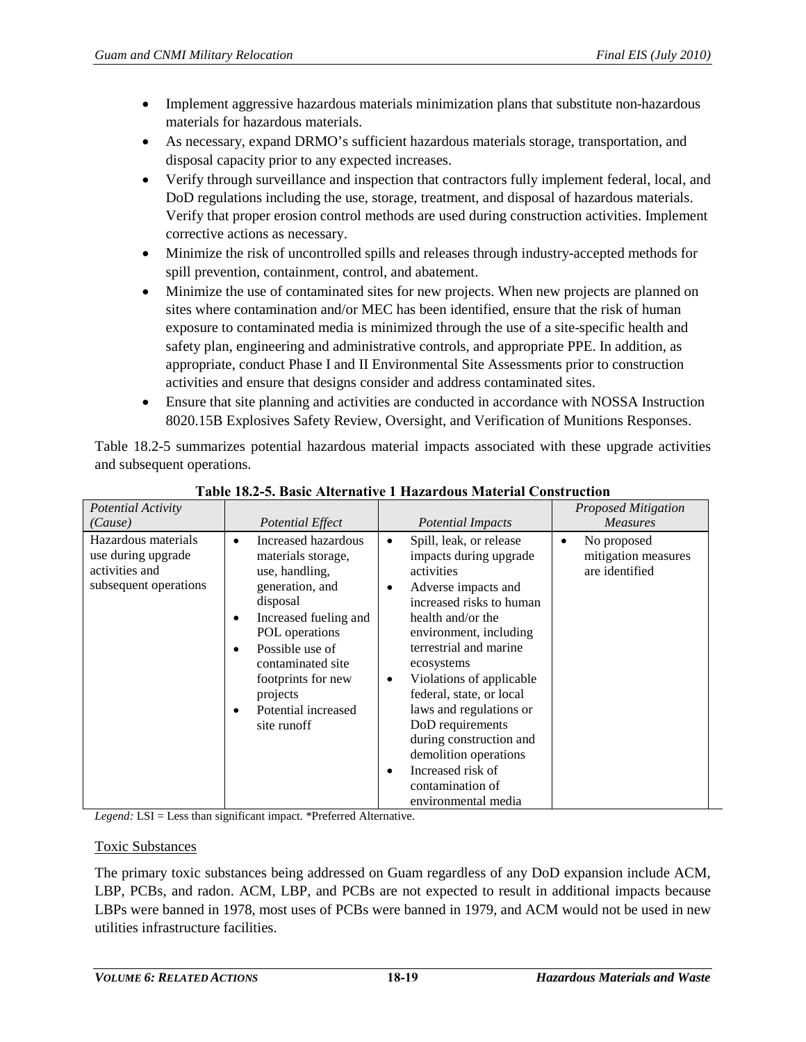- Implement aggressive hazardous materials minimization plans that substitute non-hazardous materials for hazardous materials.
- As necessary, expand DRMO's sufficient hazardous materials storage, transportation, and disposal capacity prior to any expected increases.
- Verify through surveillance and inspection that contractors fully implement federal, local, and DoD regulations including the use, storage, treatment, and disposal of hazardous materials. Verify that proper erosion control methods are used during construction activities. Implement corrective actions as necessary.
- Minimize the risk of uncontrolled spills and releases through industry-accepted methods for spill prevention, containment, control, and abatement.
- Minimize the use of contaminated sites for new projects. When new projects are planned on sites where contamination and/or MEC has been identified, ensure that the risk of human exposure to contaminated media is minimized through the use of a site-specific health and safety plan, engineering and administrative controls, and appropriate PPE. In addition, as appropriate, conduct Phase I and II Environmental Site Assessments prior to construction activities and ensure that designs consider and address contaminated sites.
- Ensure that site planning and activities are conducted in accordance with NOSSA Instruction 8020.15B Explosives Safety Review, Oversight, and Verification of Munitions Responses.

[Table 18.2-5](#page-18-0) summarizes potential hazardous material impacts associated with these upgrade activities and subsequent operations.

<span id="page-18-0"></span>

| Potential Activity                                                                   |                                                                                                                                                                                                                                                                              |                                                                                                                                                                                                                                                                                                                                                                                                                                                                  | <b>Proposed Mitigation</b>                                        |
|--------------------------------------------------------------------------------------|------------------------------------------------------------------------------------------------------------------------------------------------------------------------------------------------------------------------------------------------------------------------------|------------------------------------------------------------------------------------------------------------------------------------------------------------------------------------------------------------------------------------------------------------------------------------------------------------------------------------------------------------------------------------------------------------------------------------------------------------------|-------------------------------------------------------------------|
| (Cause)                                                                              | Potential Effect                                                                                                                                                                                                                                                             | <b>Potential Impacts</b>                                                                                                                                                                                                                                                                                                                                                                                                                                         | <b>Measures</b>                                                   |
| Hazardous materials<br>use during upgrade<br>activities and<br>subsequent operations | Increased hazardous<br>$\bullet$<br>materials storage,<br>use, handling,<br>generation, and<br>disposal<br>Increased fueling and<br>POL operations<br>Possible use of<br>٠<br>contaminated site<br>footprints for new<br>projects<br>Potential increased<br>٠<br>site runoff | Spill, leak, or release<br>$\bullet$<br>impacts during upgrade<br>activities<br>Adverse impacts and<br>٠<br>increased risks to human<br>health and/or the<br>environment, including<br>terrestrial and marine<br>ecosystems<br>Violations of applicable<br>٠<br>federal, state, or local<br>laws and regulations or<br>DoD requirements<br>during construction and<br>demolition operations<br>Increased risk of<br>٠<br>contamination of<br>environmental media | No proposed<br>$\bullet$<br>mitigation measures<br>are identified |

**Table 18.2-5. Basic Alternative 1 Hazardous Material Construction**

*Legend:* LSI = Less than significant impact. \*Preferred Alternative.

## Toxic Substances

The primary toxic substances being addressed on Guam regardless of any DoD expansion include ACM, LBP, PCBs, and radon. ACM, LBP, and PCBs are not expected to result in additional impacts because LBPs were banned in 1978, most uses of PCBs were banned in 1979, and ACM would not be used in new utilities infrastructure facilities.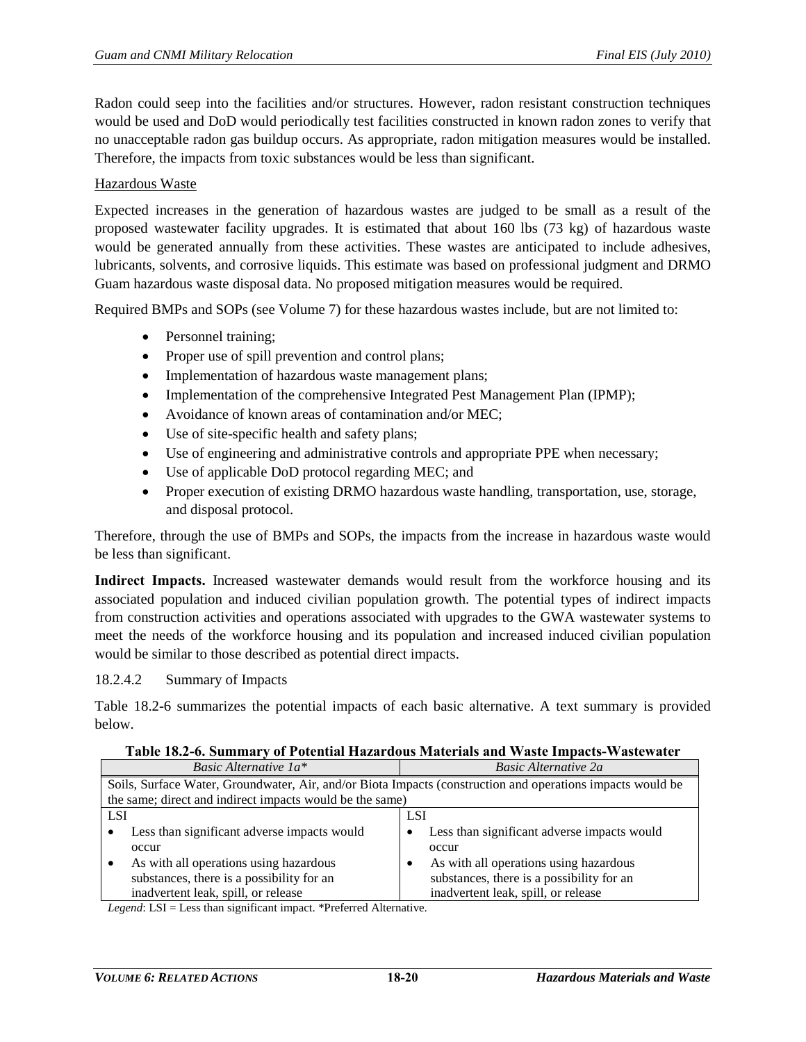Radon could seep into the facilities and/or structures. However, radon resistant construction techniques would be used and DoD would periodically test facilities constructed in known radon zones to verify that no unacceptable radon gas buildup occurs. As appropriate, radon mitigation measures would be installed. Therefore, the impacts from toxic substances would be less than significant.

## Hazardous Waste

Expected increases in the generation of hazardous wastes are judged to be small as a result of the proposed wastewater facility upgrades. It is estimated that about 160 lbs (73 kg) of hazardous waste would be generated annually from these activities. These wastes are anticipated to include adhesives, lubricants, solvents, and corrosive liquids. This estimate was based on professional judgment and DRMO Guam hazardous waste disposal data. No proposed mitigation measures would be required.

Required BMPs and SOPs (see Volume 7) for these hazardous wastes include, but are not limited to:

- Personnel training;
- Proper use of spill prevention and control plans;
- Implementation of hazardous waste management plans;
- Implementation of the comprehensive Integrated Pest Management Plan (IPMP);
- Avoidance of known areas of contamination and/or MEC:
- Use of site-specific health and safety plans;
- Use of engineering and administrative controls and appropriate PPE when necessary;
- Use of applicable DoD protocol regarding MEC; and
- Proper execution of existing DRMO hazardous waste handling, transportation, use, storage, and disposal protocol.

Therefore, through the use of BMPs and SOPs, the impacts from the increase in hazardous waste would be less than significant.

**Indirect Impacts.** Increased wastewater demands would result from the workforce housing and its associated population and induced civilian population growth. The potential types of indirect impacts from construction activities and operations associated with upgrades to the GWA wastewater systems to meet the needs of the workforce housing and its population and increased induced civilian population would be similar to those described as potential direct impacts.

#### 18.2.4.2 Summary of Impacts

[Table 18.2-6](#page-19-0) summarizes the potential impacts of each basic alternative. A text summary is provided below.

|  |  |  |  | Table 18.2-6. Summary of Potential Hazardous Materials and Waste Impacts-Wastewater |
|--|--|--|--|-------------------------------------------------------------------------------------|
|  |  |  |  |                                                                                     |

<span id="page-19-0"></span>

| Basic Alternative $1a^*$                                 | <b>Basic Alternative 2a</b>                                                                                |  |  |
|----------------------------------------------------------|------------------------------------------------------------------------------------------------------------|--|--|
|                                                          | Soils, Surface Water, Groundwater, Air, and/or Biota Impacts (construction and operations impacts would be |  |  |
| the same; direct and indirect impacts would be the same) |                                                                                                            |  |  |
| <b>LSI</b>                                               | <b>LSI</b>                                                                                                 |  |  |
| Less than significant adverse impacts would              | Less than significant adverse impacts would                                                                |  |  |
| occur                                                    | occur                                                                                                      |  |  |
| As with all operations using hazardous                   | As with all operations using hazardous                                                                     |  |  |
| substances, there is a possibility for an                | substances, there is a possibility for an                                                                  |  |  |
| inadvertent leak, spill, or release                      | inadvertent leak, spill, or release                                                                        |  |  |

*Legend*: LSI = Less than significant impact. \*Preferred Alternative.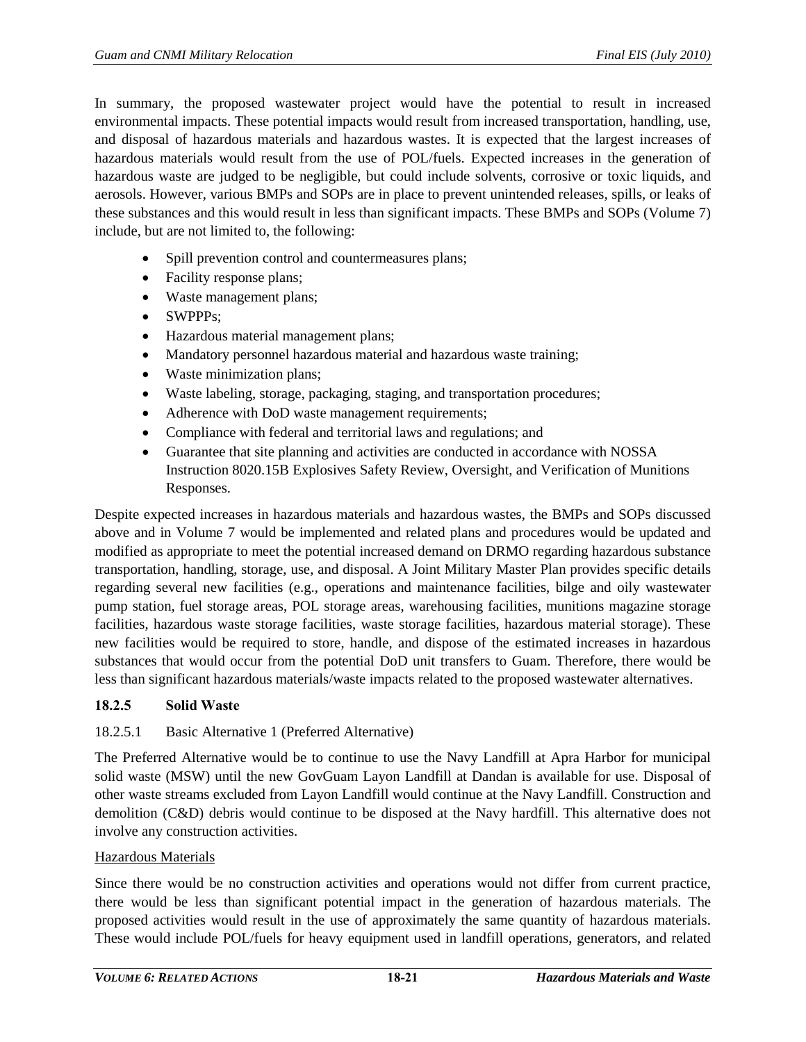In summary, the proposed wastewater project would have the potential to result in increased environmental impacts. These potential impacts would result from increased transportation, handling, use, and disposal of hazardous materials and hazardous wastes. It is expected that the largest increases of hazardous materials would result from the use of POL/fuels. Expected increases in the generation of hazardous waste are judged to be negligible, but could include solvents, corrosive or toxic liquids, and aerosols. However, various BMPs and SOPs are in place to prevent unintended releases, spills, or leaks of these substances and this would result in less than significant impacts. These BMPs and SOPs (Volume 7) include, but are not limited to, the following:

- Spill prevention control and countermeasures plans;
- Facility response plans;
- Waste management plans;
- SWPPPs:
- Hazardous material management plans;
- Mandatory personnel hazardous material and hazardous waste training;
- Waste minimization plans;
- Waste labeling, storage, packaging, staging, and transportation procedures;
- Adherence with DoD waste management requirements;
- Compliance with federal and territorial laws and regulations; and
- Guarantee that site planning and activities are conducted in accordance with NOSSA Instruction 8020.15B Explosives Safety Review, Oversight, and Verification of Munitions Responses.

Despite expected increases in hazardous materials and hazardous wastes, the BMPs and SOPs discussed above and in Volume 7 would be implemented and related plans and procedures would be updated and modified as appropriate to meet the potential increased demand on DRMO regarding hazardous substance transportation, handling, storage, use, and disposal. A Joint Military Master Plan provides specific details regarding several new facilities (e.g., operations and maintenance facilities, bilge and oily wastewater pump station, fuel storage areas, POL storage areas, warehousing facilities, munitions magazine storage facilities, hazardous waste storage facilities, waste storage facilities, hazardous material storage). These new facilities would be required to store, handle, and dispose of the estimated increases in hazardous substances that would occur from the potential DoD unit transfers to Guam. Therefore, there would be less than significant hazardous materials/waste impacts related to the proposed wastewater alternatives.

#### **18.2.5 Solid Waste**

#### 18.2.5.1 Basic Alternative 1 (Preferred Alternative)

The Preferred Alternative would be to continue to use the Navy Landfill at Apra Harbor for municipal solid waste (MSW) until the new GovGuam Layon Landfill at Dandan is available for use. Disposal of other waste streams excluded from Layon Landfill would continue at the Navy Landfill. Construction and demolition (C&D) debris would continue to be disposed at the Navy hardfill. This alternative does not involve any construction activities.

#### Hazardous Materials

Since there would be no construction activities and operations would not differ from current practice, there would be less than significant potential impact in the generation of hazardous materials. The proposed activities would result in the use of approximately the same quantity of hazardous materials. These would include POL/fuels for heavy equipment used in landfill operations, generators, and related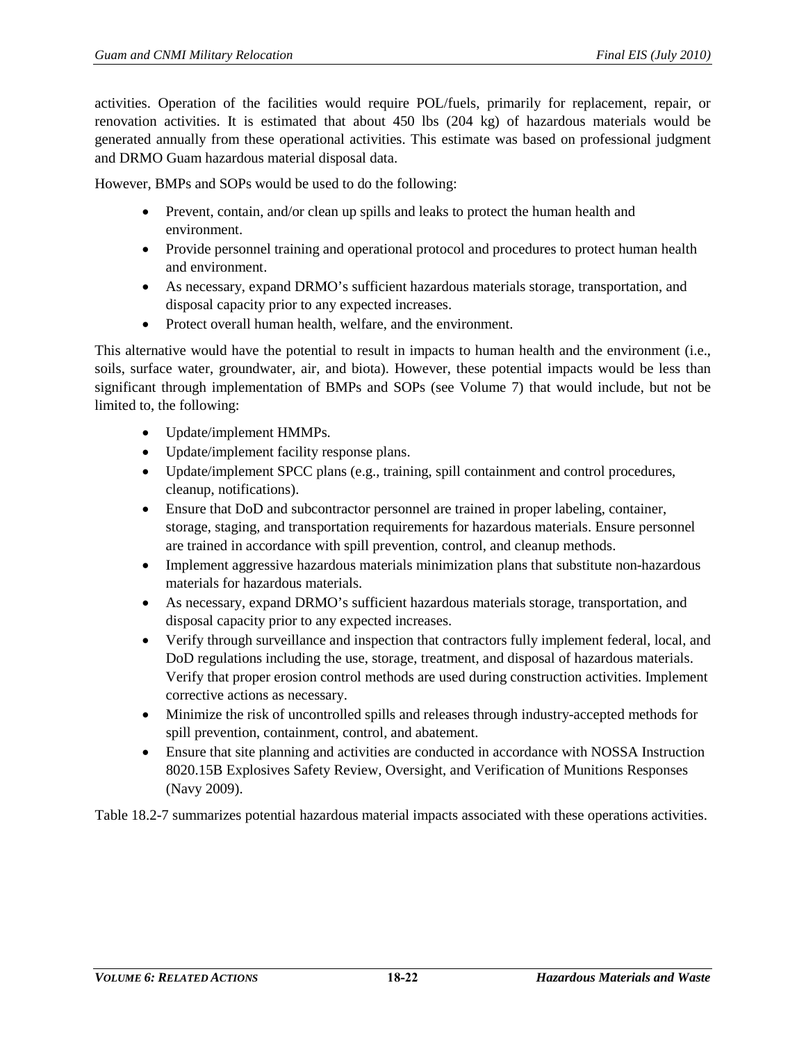activities. Operation of the facilities would require POL/fuels, primarily for replacement, repair, or renovation activities. It is estimated that about 450 lbs (204 kg) of hazardous materials would be generated annually from these operational activities. This estimate was based on professional judgment and DRMO Guam hazardous material disposal data.

However, BMPs and SOPs would be used to do the following:

- Prevent, contain, and/or clean up spills and leaks to protect the human health and environment.
- Provide personnel training and operational protocol and procedures to protect human health and environment.
- As necessary, expand DRMO's sufficient hazardous materials storage, transportation, and disposal capacity prior to any expected increases.
- Protect overall human health, welfare, and the environment.

This alternative would have the potential to result in impacts to human health and the environment (i.e., soils, surface water, groundwater, air, and biota). However, these potential impacts would be less than significant through implementation of BMPs and SOPs (see Volume 7) that would include, but not be limited to, the following:

- Update/implement HMMPs.
- Update/implement facility response plans.
- Update/implement SPCC plans (e.g., training, spill containment and control procedures, cleanup, notifications).
- Ensure that DoD and subcontractor personnel are trained in proper labeling, container, storage, staging, and transportation requirements for hazardous materials. Ensure personnel are trained in accordance with spill prevention, control, and cleanup methods.
- Implement aggressive hazardous materials minimization plans that substitute non-hazardous materials for hazardous materials.
- As necessary, expand DRMO's sufficient hazardous materials storage, transportation, and disposal capacity prior to any expected increases.
- Verify through surveillance and inspection that contractors fully implement federal, local, and DoD regulations including the use, storage, treatment, and disposal of hazardous materials. Verify that proper erosion control methods are used during construction activities. Implement corrective actions as necessary.
- Minimize the risk of uncontrolled spills and releases through industry-accepted methods for spill prevention, containment, control, and abatement.
- Ensure that site planning and activities are conducted in accordance with NOSSA Instruction 8020.15B Explosives Safety Review, Oversight, and Verification of Munitions Responses (Navy 2009).

[Table 18.2-7](#page-22-0) summarizes potential hazardous material impacts associated with these operations activities.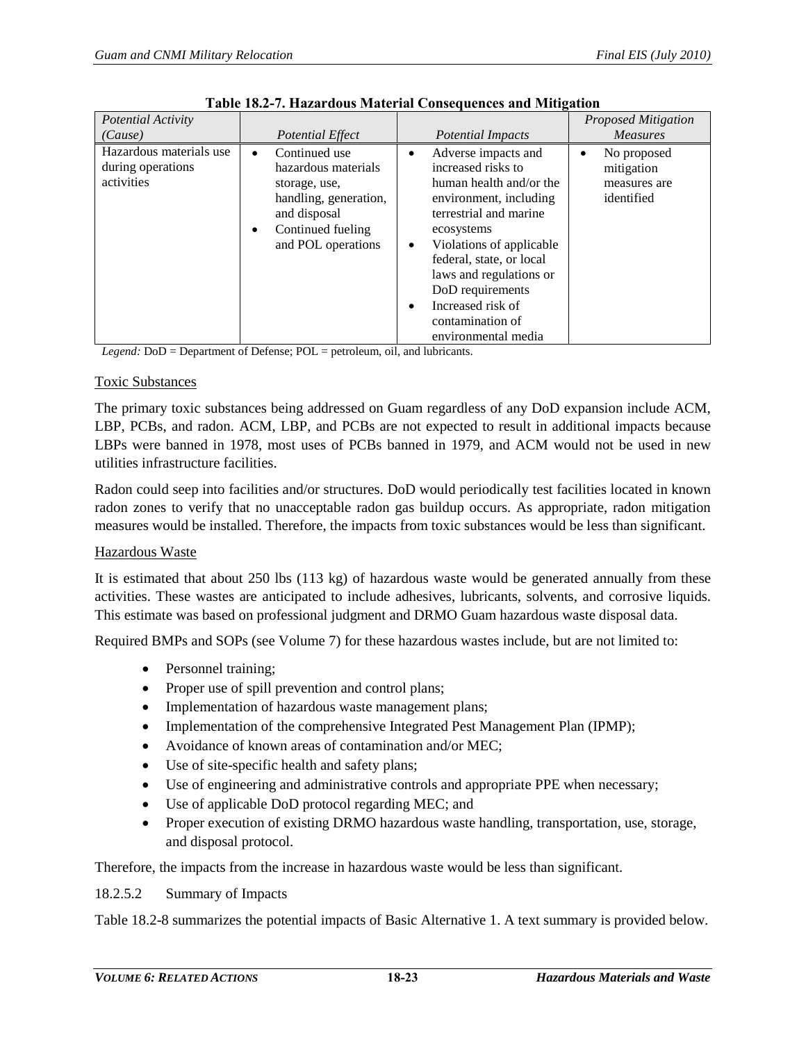<span id="page-22-0"></span>

| <b>Potential Activity</b>                                  |                                                                                                                                                                     |                                                                                                                                                                                                                                                                                                                                              | <b>Proposed Mitigation</b>                                   |
|------------------------------------------------------------|---------------------------------------------------------------------------------------------------------------------------------------------------------------------|----------------------------------------------------------------------------------------------------------------------------------------------------------------------------------------------------------------------------------------------------------------------------------------------------------------------------------------------|--------------------------------------------------------------|
| (Cause)                                                    | <b>Potential Effect</b>                                                                                                                                             | <b>Potential Impacts</b>                                                                                                                                                                                                                                                                                                                     | <b>Measures</b>                                              |
| Hazardous materials use<br>during operations<br>activities | Continued use<br>$\bullet$<br>hazardous materials<br>storage, use,<br>handling, generation,<br>and disposal<br>Continued fueling<br>$\bullet$<br>and POL operations | Adverse impacts and<br>$\bullet$<br>increased risks to<br>human health and/or the<br>environment, including<br>terrestrial and marine<br>ecosystems<br>Violations of applicable<br>٠<br>federal, state, or local<br>laws and regulations or<br>DoD requirements<br>Increased risk of<br>$\bullet$<br>contamination of<br>environmental media | No proposed<br>٠<br>mitigation<br>measures are<br>identified |

*Legend:* DoD = Department of Defense; POL = petroleum, oil, and lubricants.

## Toxic Substances

The primary toxic substances being addressed on Guam regardless of any DoD expansion include ACM, LBP, PCBs, and radon. ACM, LBP, and PCBs are not expected to result in additional impacts because LBPs were banned in 1978, most uses of PCBs banned in 1979, and ACM would not be used in new utilities infrastructure facilities.

Radon could seep into facilities and/or structures. DoD would periodically test facilities located in known radon zones to verify that no unacceptable radon gas buildup occurs. As appropriate, radon mitigation measures would be installed. Therefore, the impacts from toxic substances would be less than significant.

## Hazardous Waste

It is estimated that about 250 lbs (113 kg) of hazardous waste would be generated annually from these activities. These wastes are anticipated to include adhesives, lubricants, solvents, and corrosive liquids. This estimate was based on professional judgment and DRMO Guam hazardous waste disposal data.

Required BMPs and SOPs (see Volume 7) for these hazardous wastes include, but are not limited to:

- Personnel training;
- Proper use of spill prevention and control plans;
- Implementation of hazardous waste management plans;
- Implementation of the comprehensive Integrated Pest Management Plan (IPMP);
- Avoidance of known areas of contamination and/or MEC;
- Use of site-specific health and safety plans;
- Use of engineering and administrative controls and appropriate PPE when necessary;
- Use of applicable DoD protocol regarding MEC; and
- Proper execution of existing DRMO hazardous waste handling, transportation, use, storage, and disposal protocol.

Therefore, the impacts from the increase in hazardous waste would be less than significant.

## 18.2.5.2 Summary of Impacts

[Table 18.2-8](#page-23-1) summarizes the potential impacts of Basic Alternative 1. A text summary is provided below.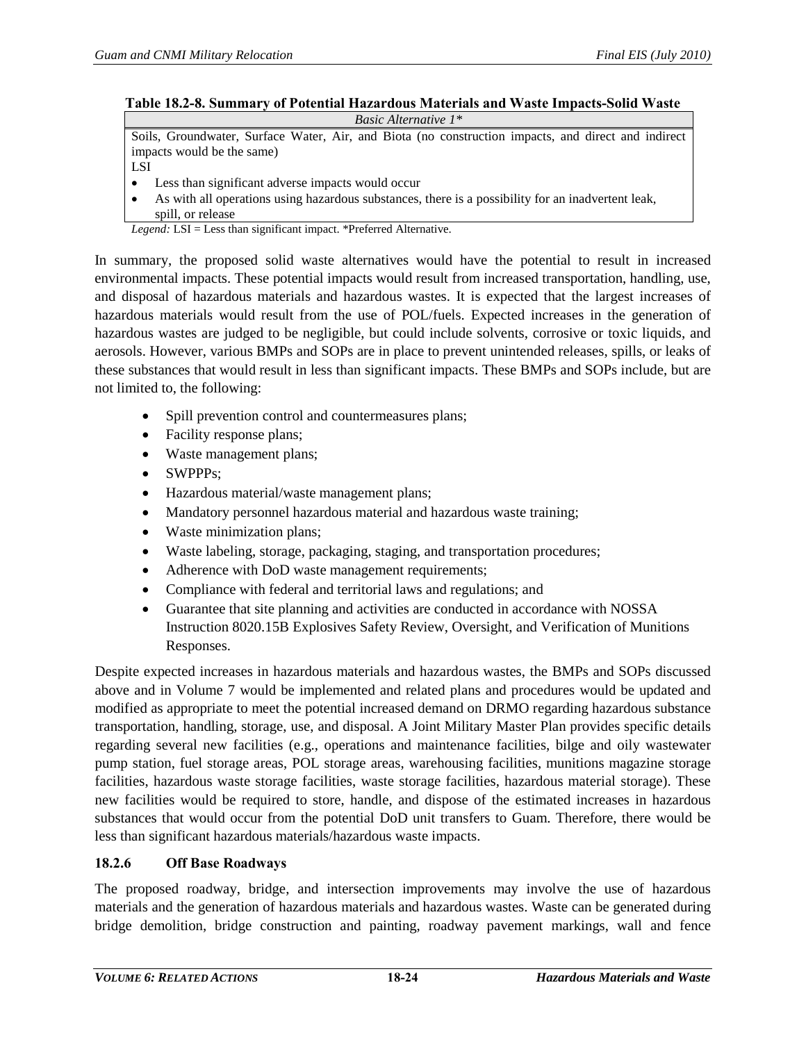#### <span id="page-23-1"></span>**Table 18.2-8. Summary of Potential Hazardous Materials and Waste Impacts-Solid Waste** *Basic Alternative 1\**

Soils, Groundwater, Surface Water, Air, and Biota (no construction impacts, and direct and indirect impacts would be the same)

LSI

- Less than significant adverse impacts would occur
- As with all operations using hazardous substances, there is a possibility for an inadvertent leak, spill, or release

*Legend:* LSI = Less than significant impact. \*Preferred Alternative.

In summary, the proposed solid waste alternatives would have the potential to result in increased environmental impacts. These potential impacts would result from increased transportation, handling, use, and disposal of hazardous materials and hazardous wastes. It is expected that the largest increases of hazardous materials would result from the use of POL/fuels. Expected increases in the generation of hazardous wastes are judged to be negligible, but could include solvents, corrosive or toxic liquids, and aerosols. However, various BMPs and SOPs are in place to prevent unintended releases, spills, or leaks of these substances that would result in less than significant impacts. These BMPs and SOPs include, but are not limited to, the following:

- Spill prevention control and countermeasures plans;
- Facility response plans;
- Waste management plans;
- SWPPPs;
- Hazardous material/waste management plans;
- Mandatory personnel hazardous material and hazardous waste training;
- Waste minimization plans;
- Waste labeling, storage, packaging, staging, and transportation procedures;
- Adherence with DoD waste management requirements;
- Compliance with federal and territorial laws and regulations; and
- Guarantee that site planning and activities are conducted in accordance with NOSSA Instruction 8020.15B Explosives Safety Review, Oversight, and Verification of Munitions Responses.

Despite expected increases in hazardous materials and hazardous wastes, the BMPs and SOPs discussed above and in Volume 7 would be implemented and related plans and procedures would be updated and modified as appropriate to meet the potential increased demand on DRMO regarding hazardous substance transportation, handling, storage, use, and disposal. A Joint Military Master Plan provides specific details regarding several new facilities (e.g., operations and maintenance facilities, bilge and oily wastewater pump station, fuel storage areas, POL storage areas, warehousing facilities, munitions magazine storage facilities, hazardous waste storage facilities, waste storage facilities, hazardous material storage). These new facilities would be required to store, handle, and dispose of the estimated increases in hazardous substances that would occur from the potential DoD unit transfers to Guam. Therefore, there would be less than significant hazardous materials/hazardous waste impacts.

## <span id="page-23-0"></span>**18.2.6 Off Base Roadways**

The proposed roadway, bridge, and intersection improvements may involve the use of hazardous materials and the generation of hazardous materials and hazardous wastes. Waste can be generated during bridge demolition, bridge construction and painting, roadway pavement markings, wall and fence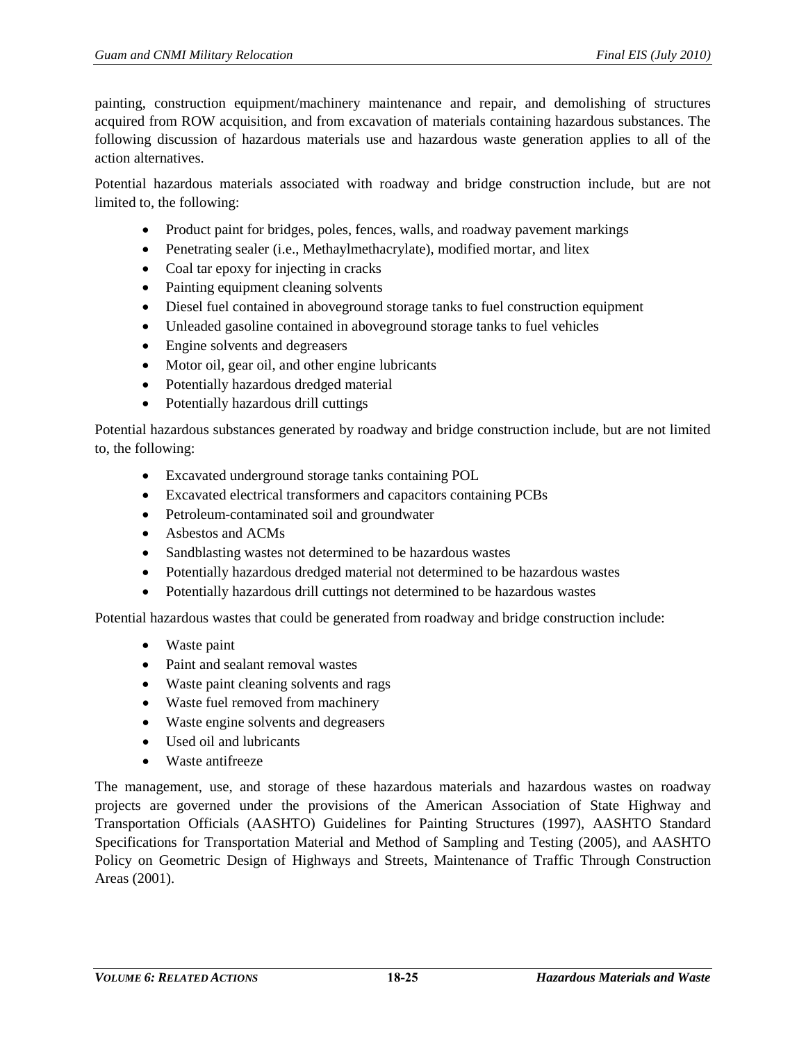painting, construction equipment/machinery maintenance and repair, and demolishing of structures acquired from ROW acquisition, and from excavation of materials containing hazardous substances. The following discussion of hazardous materials use and hazardous waste generation applies to all of the action alternatives.

Potential hazardous materials associated with roadway and bridge construction include, but are not limited to, the following:

- Product paint for bridges, poles, fences, walls, and roadway pavement markings
- Penetrating sealer (i.e., Methaylmethacrylate), modified mortar, and litex
- Coal tar epoxy for injecting in cracks
- Painting equipment cleaning solvents
- Diesel fuel contained in aboveground storage tanks to fuel construction equipment
- Unleaded gasoline contained in aboveground storage tanks to fuel vehicles
- Engine solvents and degreasers
- Motor oil, gear oil, and other engine lubricants
- Potentially hazardous dredged material
- Potentially hazardous drill cuttings

Potential hazardous substances generated by roadway and bridge construction include, but are not limited to, the following:

- Excavated underground storage tanks containing POL
- Excavated electrical transformers and capacitors containing PCBs
- Petroleum-contaminated soil and groundwater
- Asbestos and ACMs
- Sandblasting wastes not determined to be hazardous wastes
- Potentially hazardous dredged material not determined to be hazardous wastes
- Potentially hazardous drill cuttings not determined to be hazardous wastes

Potential hazardous wastes that could be generated from roadway and bridge construction include:

- Waste paint
- Paint and sealant removal wastes
- Waste paint cleaning solvents and rags
- Waste fuel removed from machinery
- Waste engine solvents and degreasers
- Used oil and lubricants
- Waste antifreeze

The management, use, and storage of these hazardous materials and hazardous wastes on roadway projects are governed under the provisions of the American Association of State Highway and Transportation Officials (AASHTO) Guidelines for Painting Structures (1997), AASHTO Standard Specifications for Transportation Material and Method of Sampling and Testing (2005), and AASHTO Policy on Geometric Design of Highways and Streets, Maintenance of Traffic Through Construction Areas (2001).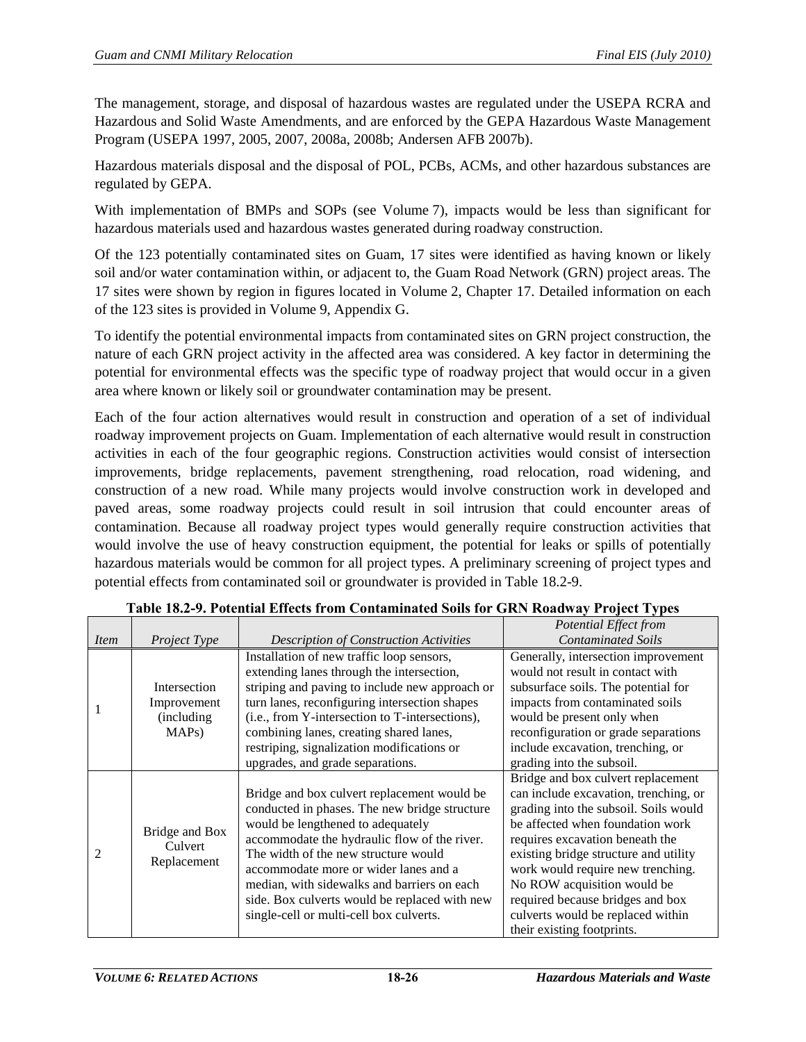The management, storage, and disposal of hazardous wastes are regulated under the USEPA RCRA and Hazardous and Solid Waste Amendments, and are enforced by the GEPA Hazardous Waste Management Program (USEPA 1997, 2005, 2007, 2008a, 2008b; Andersen AFB 2007b).

Hazardous materials disposal and the disposal of POL, PCBs, ACMs, and other hazardous substances are regulated by GEPA.

With implementation of BMPs and SOPs (see Volume 7), impacts would be less than significant for hazardous materials used and hazardous wastes generated during roadway construction.

Of the 123 potentially contaminated sites on Guam, 17 sites were identified as having known or likely soil and/or water contamination within, or adjacent to, the Guam Road Network (GRN) project areas. The 17 sites were shown by region in figures located in Volume 2, Chapter 17. Detailed information on each of the 123 sites is provided in Volume 9, Appendix G.

To identify the potential environmental impacts from contaminated sites on GRN project construction, the nature of each GRN project activity in the affected area was considered. A key factor in determining the potential for environmental effects was the specific type of roadway project that would occur in a given area where known or likely soil or groundwater contamination may be present.

Each of the four action alternatives would result in construction and operation of a set of individual roadway improvement projects on Guam. Implementation of each alternative would result in construction activities in each of the four geographic regions. Construction activities would consist of intersection improvements, bridge replacements, pavement strengthening, road relocation, road widening, and construction of a new road. While many projects would involve construction work in developed and paved areas, some roadway projects could result in soil intrusion that could encounter areas of contamination. Because all roadway project types would generally require construction activities that would involve the use of heavy construction equipment, the potential for leaks or spills of potentially hazardous materials would be common for all project types. A preliminary screening of project types and potential effects from contaminated soil or groundwater is provided i[n Table 18.2-9.](#page-25-0)

<span id="page-25-0"></span>

| Item           | Project Type                                        | <b>Description of Construction Activities</b>                                                                                                                                                                                                                                                                                                                                                                 | Potential Effect from<br><b>Contaminated Soils</b>                                                                                                                                                                                                                                                                                                                                                              |
|----------------|-----------------------------------------------------|---------------------------------------------------------------------------------------------------------------------------------------------------------------------------------------------------------------------------------------------------------------------------------------------------------------------------------------------------------------------------------------------------------------|-----------------------------------------------------------------------------------------------------------------------------------------------------------------------------------------------------------------------------------------------------------------------------------------------------------------------------------------------------------------------------------------------------------------|
|                | Intersection<br>Improvement<br>(including)<br>MAPs) | Installation of new traffic loop sensors,<br>extending lanes through the intersection,<br>striping and paving to include new approach or<br>turn lanes, reconfiguring intersection shapes<br>(i.e., from Y-intersection to T-intersections),<br>combining lanes, creating shared lanes,<br>restriping, signalization modifications or<br>upgrades, and grade separations.                                     | Generally, intersection improvement<br>would not result in contact with<br>subsurface soils. The potential for<br>impacts from contaminated soils<br>would be present only when<br>reconfiguration or grade separations<br>include excavation, trenching, or<br>grading into the subsoil.                                                                                                                       |
| $\overline{c}$ | Bridge and Box<br>Culvert<br>Replacement            | Bridge and box culvert replacement would be<br>conducted in phases. The new bridge structure<br>would be lengthened to adequately<br>accommodate the hydraulic flow of the river.<br>The width of the new structure would<br>accommodate more or wider lanes and a<br>median, with sidewalks and barriers on each<br>side. Box culverts would be replaced with new<br>single-cell or multi-cell box culverts. | Bridge and box culvert replacement<br>can include excavation, trenching, or<br>grading into the subsoil. Soils would<br>be affected when foundation work<br>requires excavation beneath the<br>existing bridge structure and utility<br>work would require new trenching.<br>No ROW acquisition would be<br>required because bridges and box<br>culverts would be replaced within<br>their existing footprints. |

## **Table 18.2-9. Potential Effects from Contaminated Soils for GRN Roadway Project Types**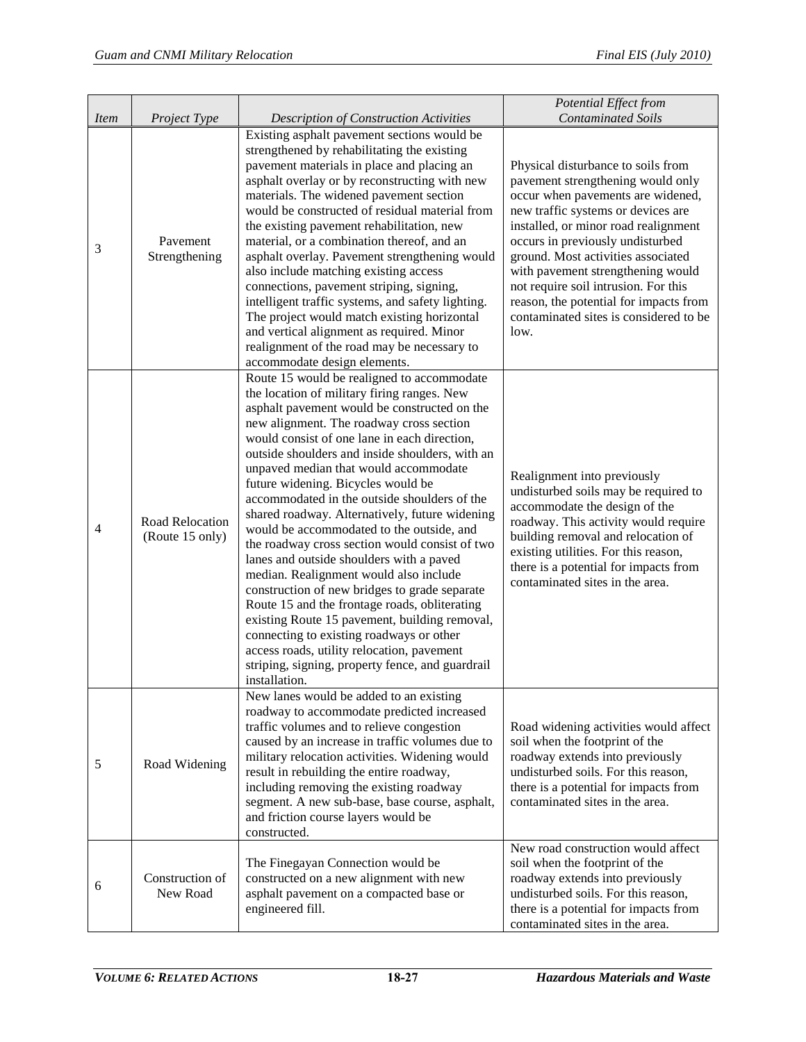| Item           | Project Type                       | <b>Description of Construction Activities</b>                                                                                                                                                                                                                                                                                                                                                                                                                                                                                                                                                                                                                                                                                                                                                                                                                                                                                                                                    | Potential Effect from<br><b>Contaminated Soils</b>                                                                                                                                                                                                                                                                                                                                                                                            |
|----------------|------------------------------------|----------------------------------------------------------------------------------------------------------------------------------------------------------------------------------------------------------------------------------------------------------------------------------------------------------------------------------------------------------------------------------------------------------------------------------------------------------------------------------------------------------------------------------------------------------------------------------------------------------------------------------------------------------------------------------------------------------------------------------------------------------------------------------------------------------------------------------------------------------------------------------------------------------------------------------------------------------------------------------|-----------------------------------------------------------------------------------------------------------------------------------------------------------------------------------------------------------------------------------------------------------------------------------------------------------------------------------------------------------------------------------------------------------------------------------------------|
| 3              | Pavement<br>Strengthening          | Existing asphalt pavement sections would be<br>strengthened by rehabilitating the existing<br>pavement materials in place and placing an<br>asphalt overlay or by reconstructing with new<br>materials. The widened pavement section<br>would be constructed of residual material from<br>the existing pavement rehabilitation, new<br>material, or a combination thereof, and an<br>asphalt overlay. Pavement strengthening would<br>also include matching existing access<br>connections, pavement striping, signing,<br>intelligent traffic systems, and safety lighting.<br>The project would match existing horizontal<br>and vertical alignment as required. Minor<br>realignment of the road may be necessary to<br>accommodate design elements.                                                                                                                                                                                                                          | Physical disturbance to soils from<br>pavement strengthening would only<br>occur when pavements are widened,<br>new traffic systems or devices are<br>installed, or minor road realignment<br>occurs in previously undisturbed<br>ground. Most activities associated<br>with pavement strengthening would<br>not require soil intrusion. For this<br>reason, the potential for impacts from<br>contaminated sites is considered to be<br>low. |
| $\overline{4}$ | Road Relocation<br>(Route 15 only) | Route 15 would be realigned to accommodate<br>the location of military firing ranges. New<br>asphalt pavement would be constructed on the<br>new alignment. The roadway cross section<br>would consist of one lane in each direction,<br>outside shoulders and inside shoulders, with an<br>unpaved median that would accommodate<br>future widening. Bicycles would be<br>accommodated in the outside shoulders of the<br>shared roadway. Alternatively, future widening<br>would be accommodated to the outside, and<br>the roadway cross section would consist of two<br>lanes and outside shoulders with a paved<br>median. Realignment would also include<br>construction of new bridges to grade separate<br>Route 15 and the frontage roads, obliterating<br>existing Route 15 pavement, building removal,<br>connecting to existing roadways or other<br>access roads, utility relocation, pavement<br>striping, signing, property fence, and guardrail<br>installation. | Realignment into previously<br>undisturbed soils may be required to<br>accommodate the design of the<br>roadway. This activity would require<br>building removal and relocation of<br>existing utilities. For this reason,<br>there is a potential for impacts from<br>contaminated sites in the area.                                                                                                                                        |
| 5              | Road Widening                      | New lanes would be added to an existing<br>roadway to accommodate predicted increased<br>traffic volumes and to relieve congestion<br>caused by an increase in traffic volumes due to<br>military relocation activities. Widening would<br>result in rebuilding the entire roadway,<br>including removing the existing roadway<br>segment. A new sub-base, base course, asphalt,<br>and friction course layers would be<br>constructed.                                                                                                                                                                                                                                                                                                                                                                                                                                                                                                                                          | Road widening activities would affect<br>soil when the footprint of the<br>roadway extends into previously<br>undisturbed soils. For this reason,<br>there is a potential for impacts from<br>contaminated sites in the area.                                                                                                                                                                                                                 |
| 6              | Construction of<br>New Road        | The Finegayan Connection would be<br>constructed on a new alignment with new<br>asphalt pavement on a compacted base or<br>engineered fill.                                                                                                                                                                                                                                                                                                                                                                                                                                                                                                                                                                                                                                                                                                                                                                                                                                      | New road construction would affect<br>soil when the footprint of the<br>roadway extends into previously<br>undisturbed soils. For this reason,<br>there is a potential for impacts from<br>contaminated sites in the area.                                                                                                                                                                                                                    |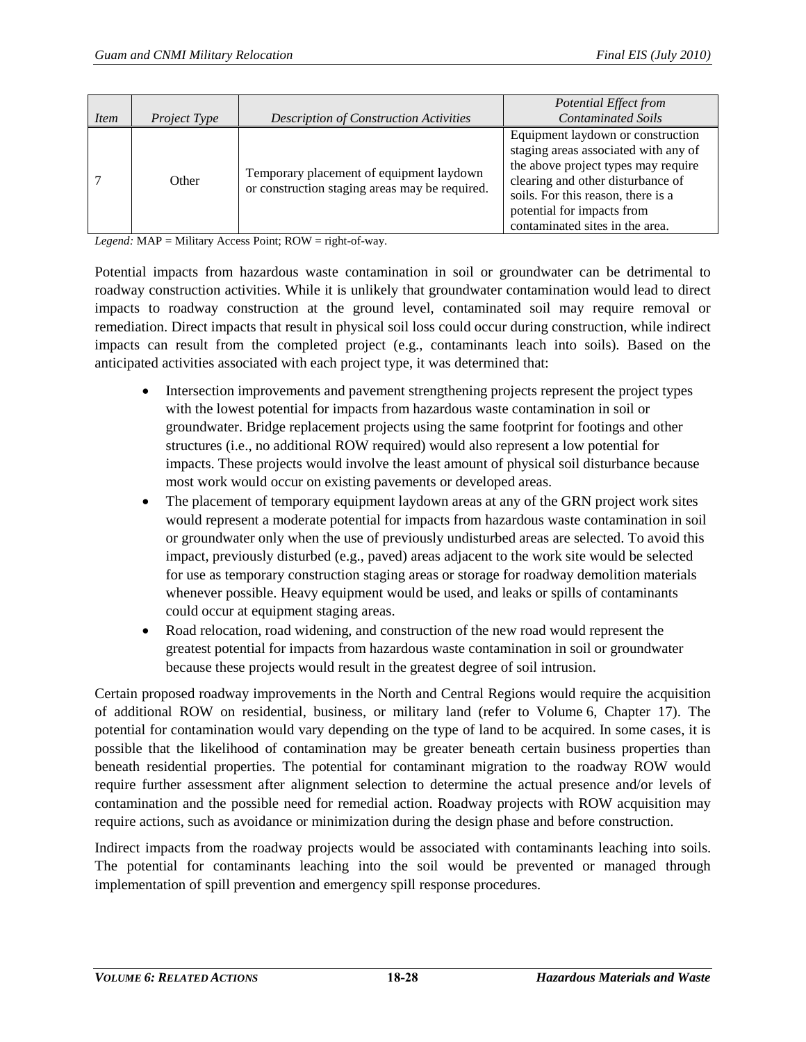|      |                     |                                                                                            | Potential Effect from                                                                                                                                                                                                                                        |
|------|---------------------|--------------------------------------------------------------------------------------------|--------------------------------------------------------------------------------------------------------------------------------------------------------------------------------------------------------------------------------------------------------------|
| Item | <i>Project Type</i> | <b>Description of Construction Activities</b>                                              | <b>Contaminated Soils</b>                                                                                                                                                                                                                                    |
|      | Other               | Temporary placement of equipment laydown<br>or construction staging areas may be required. | Equipment laydown or construction<br>staging areas associated with any of<br>the above project types may require<br>clearing and other disturbance of<br>soils. For this reason, there is a<br>potential for impacts from<br>contaminated sites in the area. |

*Legend:* MAP = Military Access Point; ROW = right-of-way.

Potential impacts from hazardous waste contamination in soil or groundwater can be detrimental to roadway construction activities. While it is unlikely that groundwater contamination would lead to direct impacts to roadway construction at the ground level, contaminated soil may require removal or remediation. Direct impacts that result in physical soil loss could occur during construction, while indirect impacts can result from the completed project (e.g., contaminants leach into soils). Based on the anticipated activities associated with each project type, it was determined that:

- Intersection improvements and pavement strengthening projects represent the project types with the lowest potential for impacts from hazardous waste contamination in soil or groundwater. Bridge replacement projects using the same footprint for footings and other structures (i.e., no additional ROW required) would also represent a low potential for impacts. These projects would involve the least amount of physical soil disturbance because most work would occur on existing pavements or developed areas.
- The placement of temporary equipment laydown areas at any of the GRN project work sites would represent a moderate potential for impacts from hazardous waste contamination in soil or groundwater only when the use of previously undisturbed areas are selected. To avoid this impact, previously disturbed (e.g., paved) areas adjacent to the work site would be selected for use as temporary construction staging areas or storage for roadway demolition materials whenever possible. Heavy equipment would be used, and leaks or spills of contaminants could occur at equipment staging areas.
- Road relocation, road widening, and construction of the new road would represent the greatest potential for impacts from hazardous waste contamination in soil or groundwater because these projects would result in the greatest degree of soil intrusion.

Certain proposed roadway improvements in the North and Central Regions would require the acquisition of additional ROW on residential, business, or military land (refer to Volume 6, Chapter 17). The potential for contamination would vary depending on the type of land to be acquired. In some cases, it is possible that the likelihood of contamination may be greater beneath certain business properties than beneath residential properties. The potential for contaminant migration to the roadway ROW would require further assessment after alignment selection to determine the actual presence and/or levels of contamination and the possible need for remedial action. Roadway projects with ROW acquisition may require actions, such as avoidance or minimization during the design phase and before construction.

Indirect impacts from the roadway projects would be associated with contaminants leaching into soils. The potential for contaminants leaching into the soil would be prevented or managed through implementation of spill prevention and emergency spill response procedures.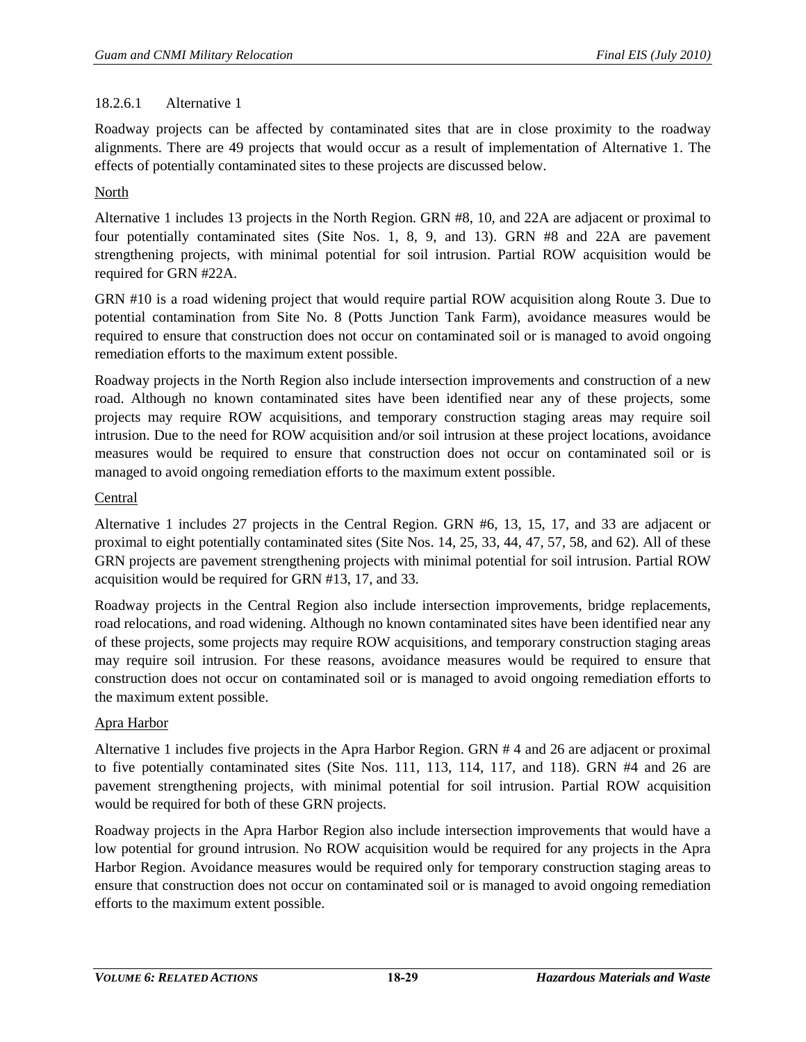# 18.2.6.1 Alternative 1

Roadway projects can be affected by contaminated sites that are in close proximity to the roadway alignments. There are 49 projects that would occur as a result of implementation of Alternative 1. The effects of potentially contaminated sites to these projects are discussed below.

# North

Alternative 1 includes 13 projects in the North Region. GRN #8, 10, and 22A are adjacent or proximal to four potentially contaminated sites (Site Nos. 1, 8, 9, and 13). GRN #8 and 22A are pavement strengthening projects, with minimal potential for soil intrusion. Partial ROW acquisition would be required for GRN #22A.

GRN #10 is a road widening project that would require partial ROW acquisition along Route 3. Due to potential contamination from Site No. 8 (Potts Junction Tank Farm), avoidance measures would be required to ensure that construction does not occur on contaminated soil or is managed to avoid ongoing remediation efforts to the maximum extent possible.

Roadway projects in the North Region also include intersection improvements and construction of a new road. Although no known contaminated sites have been identified near any of these projects, some projects may require ROW acquisitions, and temporary construction staging areas may require soil intrusion. Due to the need for ROW acquisition and/or soil intrusion at these project locations, avoidance measures would be required to ensure that construction does not occur on contaminated soil or is managed to avoid ongoing remediation efforts to the maximum extent possible.

# Central

Alternative 1 includes 27 projects in the Central Region. GRN #6, 13, 15, 17, and 33 are adjacent or proximal to eight potentially contaminated sites (Site Nos. 14, 25, 33, 44, 47, 57, 58, and 62). All of these GRN projects are pavement strengthening projects with minimal potential for soil intrusion. Partial ROW acquisition would be required for GRN #13, 17, and 33.

Roadway projects in the Central Region also include intersection improvements, bridge replacements, road relocations, and road widening. Although no known contaminated sites have been identified near any of these projects, some projects may require ROW acquisitions, and temporary construction staging areas may require soil intrusion. For these reasons, avoidance measures would be required to ensure that construction does not occur on contaminated soil or is managed to avoid ongoing remediation efforts to the maximum extent possible.

## Apra Harbor

Alternative 1 includes five projects in the Apra Harbor Region. GRN # 4 and 26 are adjacent or proximal to five potentially contaminated sites (Site Nos. 111, 113, 114, 117, and 118). GRN #4 and 26 are pavement strengthening projects, with minimal potential for soil intrusion. Partial ROW acquisition would be required for both of these GRN projects.

Roadway projects in the Apra Harbor Region also include intersection improvements that would have a low potential for ground intrusion. No ROW acquisition would be required for any projects in the Apra Harbor Region. Avoidance measures would be required only for temporary construction staging areas to ensure that construction does not occur on contaminated soil or is managed to avoid ongoing remediation efforts to the maximum extent possible.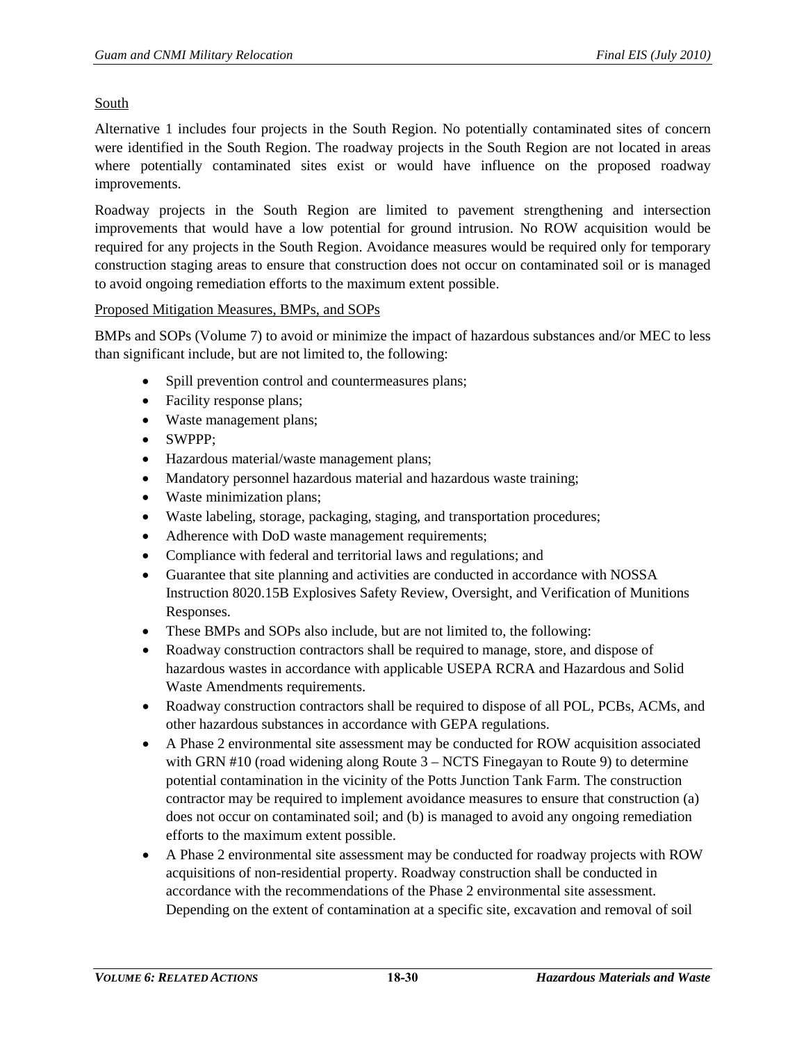## South

Alternative 1 includes four projects in the South Region. No potentially contaminated sites of concern were identified in the South Region. The roadway projects in the South Region are not located in areas where potentially contaminated sites exist or would have influence on the proposed roadway improvements.

Roadway projects in the South Region are limited to pavement strengthening and intersection improvements that would have a low potential for ground intrusion. No ROW acquisition would be required for any projects in the South Region. Avoidance measures would be required only for temporary construction staging areas to ensure that construction does not occur on contaminated soil or is managed to avoid ongoing remediation efforts to the maximum extent possible.

## Proposed Mitigation Measures, BMPs, and SOPs

BMPs and SOPs (Volume 7) to avoid or minimize the impact of hazardous substances and/or MEC to less than significant include, but are not limited to, the following:

- Spill prevention control and countermeasures plans;
- Facility response plans;
- Waste management plans;
- SWPPP;
- Hazardous material/waste management plans;
- Mandatory personnel hazardous material and hazardous waste training;
- Waste minimization plans;
- Waste labeling, storage, packaging, staging, and transportation procedures;
- Adherence with DoD waste management requirements;
- Compliance with federal and territorial laws and regulations; and
- Guarantee that site planning and activities are conducted in accordance with NOSSA Instruction 8020.15B Explosives Safety Review, Oversight, and Verification of Munitions Responses.
- These BMPs and SOPs also include, but are not limited to, the following:
- Roadway construction contractors shall be required to manage, store, and dispose of hazardous wastes in accordance with applicable USEPA RCRA and Hazardous and Solid Waste Amendments requirements.
- Roadway construction contractors shall be required to dispose of all POL, PCBs, ACMs, and other hazardous substances in accordance with GEPA regulations.
- A Phase 2 environmental site assessment may be conducted for ROW acquisition associated with GRN  $#10$  (road widening along Route  $3 - NCTS$  Finegayan to Route 9) to determine potential contamination in the vicinity of the Potts Junction Tank Farm. The construction contractor may be required to implement avoidance measures to ensure that construction (a) does not occur on contaminated soil; and (b) is managed to avoid any ongoing remediation efforts to the maximum extent possible.
- A Phase 2 environmental site assessment may be conducted for roadway projects with ROW acquisitions of non-residential property. Roadway construction shall be conducted in accordance with the recommendations of the Phase 2 environmental site assessment. Depending on the extent of contamination at a specific site, excavation and removal of soil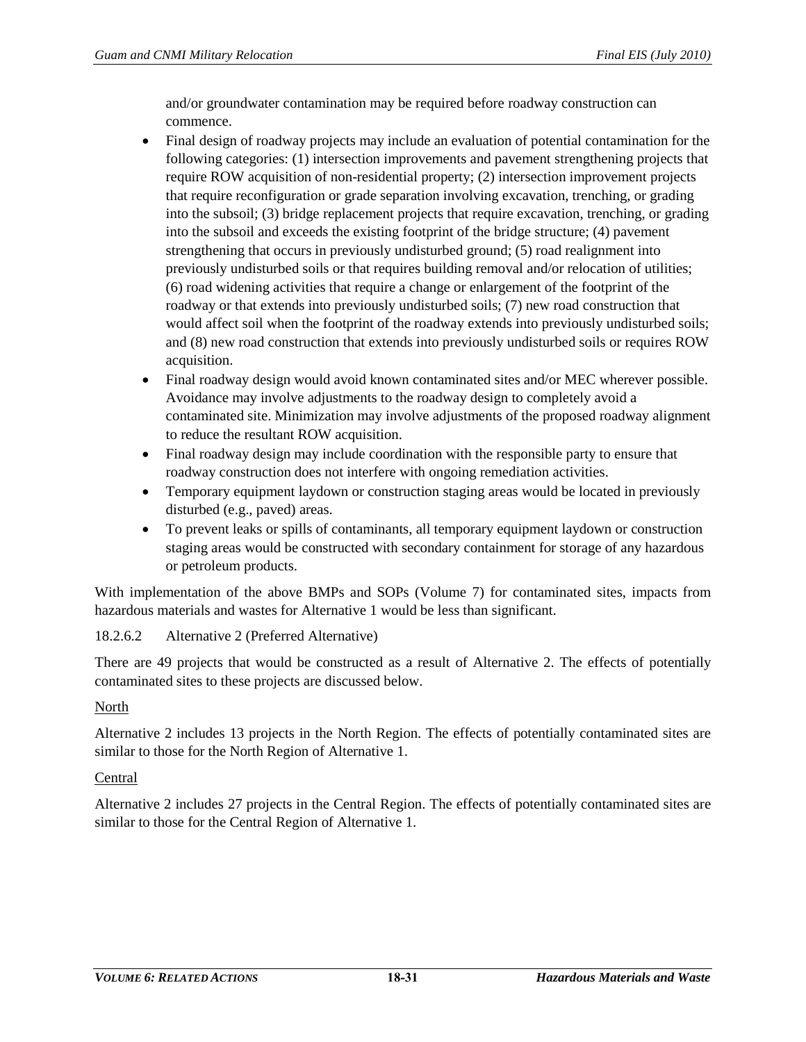and/or groundwater contamination may be required before roadway construction can commence.

- Final design of roadway projects may include an evaluation of potential contamination for the following categories: (1) intersection improvements and pavement strengthening projects that require ROW acquisition of non-residential property; (2) intersection improvement projects that require reconfiguration or grade separation involving excavation, trenching, or grading into the subsoil; (3) bridge replacement projects that require excavation, trenching, or grading into the subsoil and exceeds the existing footprint of the bridge structure; (4) pavement strengthening that occurs in previously undisturbed ground; (5) road realignment into previously undisturbed soils or that requires building removal and/or relocation of utilities; (6) road widening activities that require a change or enlargement of the footprint of the roadway or that extends into previously undisturbed soils; (7) new road construction that would affect soil when the footprint of the roadway extends into previously undisturbed soils; and (8) new road construction that extends into previously undisturbed soils or requires ROW acquisition.
- Final roadway design would avoid known contaminated sites and/or MEC wherever possible. Avoidance may involve adjustments to the roadway design to completely avoid a contaminated site. Minimization may involve adjustments of the proposed roadway alignment to reduce the resultant ROW acquisition.
- Final roadway design may include coordination with the responsible party to ensure that roadway construction does not interfere with ongoing remediation activities.
- Temporary equipment laydown or construction staging areas would be located in previously disturbed (e.g., paved) areas.
- To prevent leaks or spills of contaminants, all temporary equipment laydown or construction staging areas would be constructed with secondary containment for storage of any hazardous or petroleum products.

With implementation of the above BMPs and SOPs (Volume 7) for contaminated sites, impacts from hazardous materials and wastes for Alternative 1 would be less than significant.

# 18.2.6.2 Alternative 2 (Preferred Alternative)

There are 49 projects that would be constructed as a result of Alternative 2. The effects of potentially contaminated sites to these projects are discussed below.

## North

Alternative 2 includes 13 projects in the North Region. The effects of potentially contaminated sites are similar to those for the North Region of Alternative 1.

## Central

Alternative 2 includes 27 projects in the Central Region. The effects of potentially contaminated sites are similar to those for the Central Region of Alternative 1.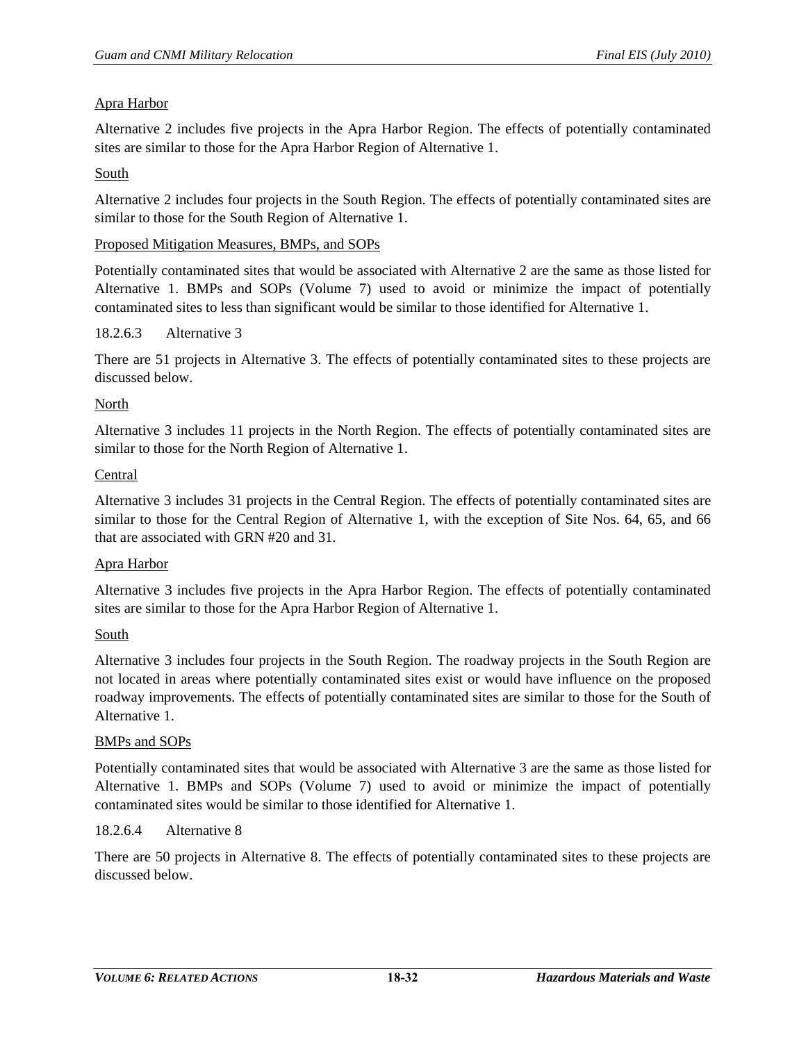# Apra Harbor

Alternative 2 includes five projects in the Apra Harbor Region. The effects of potentially contaminated sites are similar to those for the Apra Harbor Region of Alternative 1.

## South

Alternative 2 includes four projects in the South Region. The effects of potentially contaminated sites are similar to those for the South Region of Alternative 1.

## Proposed Mitigation Measures, BMPs, and SOPs

Potentially contaminated sites that would be associated with Alternative 2 are the same as those listed for Alternative 1. BMPs and SOPs (Volume 7) used to avoid or minimize the impact of potentially contaminated sites to less than significant would be similar to those identified for Alternative 1.

## 18.2.6.3 Alternative 3

There are 51 projects in Alternative 3. The effects of potentially contaminated sites to these projects are discussed below.

## North

Alternative 3 includes 11 projects in the North Region. The effects of potentially contaminated sites are similar to those for the North Region of Alternative 1.

## **Central**

Alternative 3 includes 31 projects in the Central Region. The effects of potentially contaminated sites are similar to those for the Central Region of Alternative 1, with the exception of Site Nos. 64, 65, and 66 that are associated with GRN #20 and 31.

#### Apra Harbor

Alternative 3 includes five projects in the Apra Harbor Region. The effects of potentially contaminated sites are similar to those for the Apra Harbor Region of Alternative 1.

## South

Alternative 3 includes four projects in the South Region. The roadway projects in the South Region are not located in areas where potentially contaminated sites exist or would have influence on the proposed roadway improvements. The effects of potentially contaminated sites are similar to those for the South of Alternative 1.

#### BMPs and SOPs

Potentially contaminated sites that would be associated with Alternative 3 are the same as those listed for Alternative 1. BMPs and SOPs (Volume 7) used to avoid or minimize the impact of potentially contaminated sites would be similar to those identified for Alternative 1.

#### 18.2.6.4 Alternative 8

There are 50 projects in Alternative 8. The effects of potentially contaminated sites to these projects are discussed below.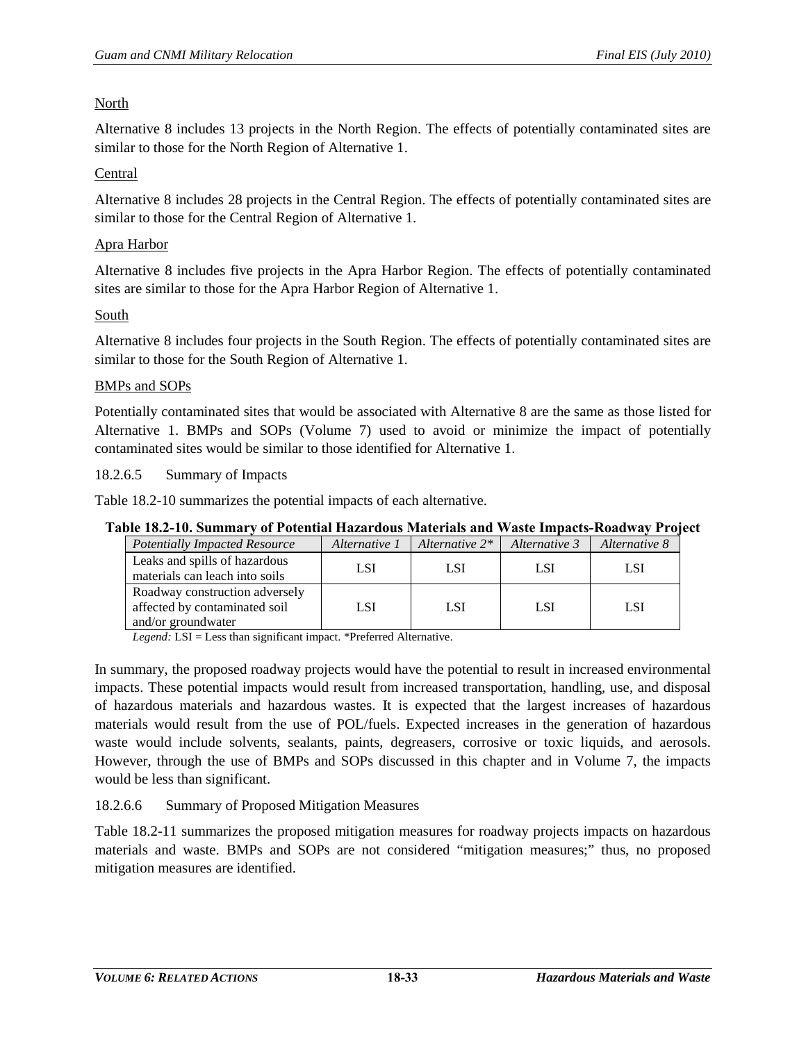## North

Alternative 8 includes 13 projects in the North Region. The effects of potentially contaminated sites are similar to those for the North Region of Alternative 1.

## Central

Alternative 8 includes 28 projects in the Central Region. The effects of potentially contaminated sites are similar to those for the Central Region of Alternative 1.

## Apra Harbor

Alternative 8 includes five projects in the Apra Harbor Region. The effects of potentially contaminated sites are similar to those for the Apra Harbor Region of Alternative 1.

## South

Alternative 8 includes four projects in the South Region. The effects of potentially contaminated sites are similar to those for the South Region of Alternative 1.

## BMPs and SOPs

Potentially contaminated sites that would be associated with Alternative 8 are the same as those listed for Alternative 1. BMPs and SOPs (Volume 7) used to avoid or minimize the impact of potentially contaminated sites would be similar to those identified for Alternative 1.

#### 18.2.6.5 Summary of Impacts

[Table 18.2-10](#page-32-0) summarizes the potential impacts of each alternative.

## <span id="page-32-0"></span>**Table 18.2-10. Summary of Potential Hazardous Materials and Waste Impacts-Roadway Project**

| <b>Potentially Impacted Resource</b>                                                  | Alternative 1 | Alternative $2^*$ | Alternative 3 | Alternative 8 |
|---------------------------------------------------------------------------------------|---------------|-------------------|---------------|---------------|
| Leaks and spills of hazardous<br>materials can leach into soils                       | LSI           | LSI               | LSI           | LSI           |
| Roadway construction adversely<br>affected by contaminated soil<br>and/or groundwater | LSI           | <b>LSI</b>        | <b>LSI</b>    | <b>LSI</b>    |

*Legend:* LSI = Less than significant impact. \*Preferred Alternative.

In summary, the proposed roadway projects would have the potential to result in increased environmental impacts. These potential impacts would result from increased transportation, handling, use, and disposal of hazardous materials and hazardous wastes. It is expected that the largest increases of hazardous materials would result from the use of POL/fuels. Expected increases in the generation of hazardous waste would include solvents, sealants, paints, degreasers, corrosive or toxic liquids, and aerosols. However, through the use of BMPs and SOPs discussed in this chapter and in Volume 7, the impacts would be less than significant.

#### 18.2.6.6 Summary of Proposed Mitigation Measures

[Table 18.2-11](#page-33-0) summarizes the proposed mitigation measures for roadway projects impacts on hazardous materials and waste. BMPs and SOPs are not considered "mitigation measures;" thus, no proposed mitigation measures are identified.